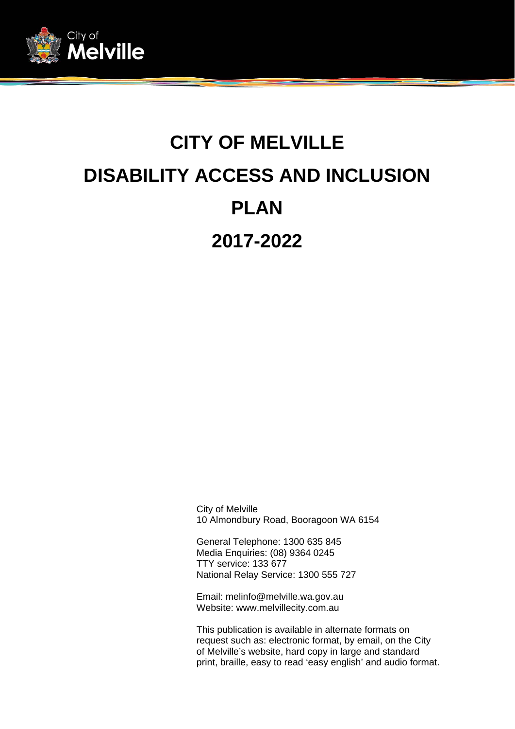

# **CITY OF MELVILLE DISABILITY ACCESS AND INCLUSION PLAN 2017-2022**

City of Melville 10 Almondbury Road, Booragoon WA 6154

General Telephone: 1300 635 845 Media Enquiries: (08) 9364 0245 TTY service: 133 677 National Relay Service: 1300 555 727

Email: melinfo@melville.wa.gov.au Website: www.melvillecity.com.au

This publication is available in alternate formats on request such as: electronic format, by email, on the City of Melville's website, hard copy in large and standard print, braille, easy to read 'easy english' and audio format.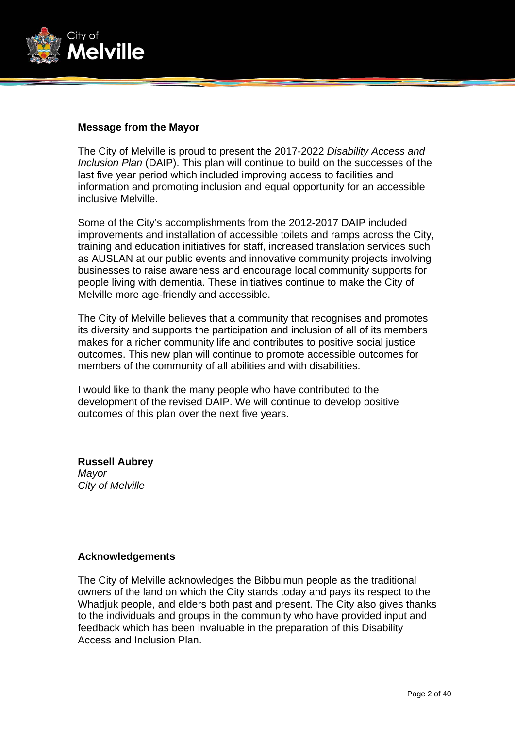

#### **Message from the Mayor**

The City of Melville is proud to present the 2017-2022 *Disability Access and Inclusion Plan* (DAIP). This plan will continue to build on the successes of the last five year period which included improving access to facilities and information and promoting inclusion and equal opportunity for an accessible inclusive Melville.

Some of the City's accomplishments from the 2012-2017 DAIP included improvements and installation of accessible toilets and ramps across the City, training and education initiatives for staff, increased translation services such as AUSLAN at our public events and innovative community projects involving businesses to raise awareness and encourage local community supports for people living with dementia. These initiatives continue to make the City of Melville more age-friendly and accessible.

The City of Melville believes that a community that recognises and promotes its diversity and supports the participation and inclusion of all of its members makes for a richer community life and contributes to positive social justice outcomes. This new plan will continue to promote accessible outcomes for members of the community of all abilities and with disabilities.

I would like to thank the many people who have contributed to the development of the revised DAIP. We will continue to develop positive outcomes of this plan over the next five years.

**Russell Aubrey**  *Mayor City of Melville* 

#### **Acknowledgements**

The City of Melville acknowledges the Bibbulmun people as the traditional owners of the land on which the City stands today and pays its respect to the Whadjuk people, and elders both past and present. The City also gives thanks to the individuals and groups in the community who have provided input and feedback which has been invaluable in the preparation of this Disability Access and Inclusion Plan.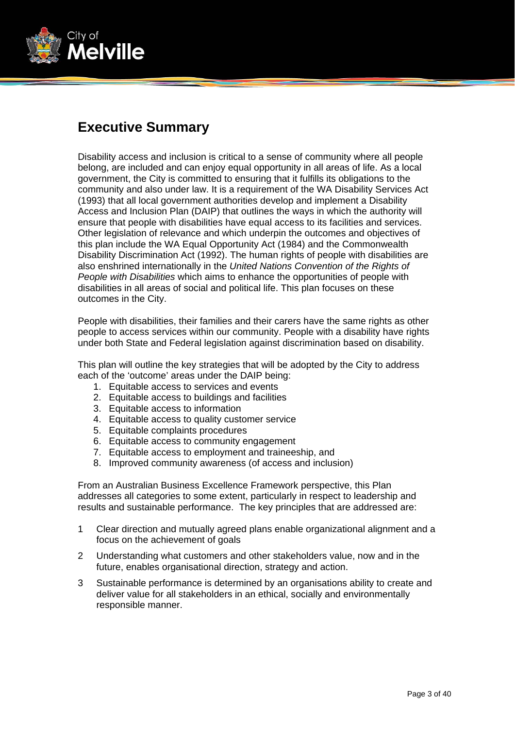

# **Executive Summary**

Disability access and inclusion is critical to a sense of community where all people belong, are included and can enjoy equal opportunity in all areas of life. As a local government, the City is committed to ensuring that it fulfills its obligations to the community and also under law. It is a requirement of the WA Disability Services Act (1993) that all local government authorities develop and implement a Disability Access and Inclusion Plan (DAIP) that outlines the ways in which the authority will ensure that people with disabilities have equal access to its facilities and services. Other legislation of relevance and which underpin the outcomes and objectives of this plan include the WA Equal Opportunity Act (1984) and the Commonwealth Disability Discrimination Act (1992). The human rights of people with disabilities are also enshrined internationally in the *United Nations Convention of the Rights of People with Disabilities* which aims to enhance the opportunities of people with disabilities in all areas of social and political life. This plan focuses on these outcomes in the City.

People with disabilities, their families and their carers have the same rights as other people to access services within our community. People with a disability have rights under both State and Federal legislation against discrimination based on disability.

This plan will outline the key strategies that will be adopted by the City to address each of the 'outcome' areas under the DAIP being:

- 1. Equitable access to services and events
- 2. Equitable access to buildings and facilities
- 3. Equitable access to information
- 4. Equitable access to quality customer service
- 5. Equitable complaints procedures
- 6. Equitable access to community engagement
- 7. Equitable access to employment and traineeship, and
- 8. Improved community awareness (of access and inclusion)

From an Australian Business Excellence Framework perspective, this Plan addresses all categories to some extent, particularly in respect to leadership and results and sustainable performance. The key principles that are addressed are:

- 1 Clear direction and mutually agreed plans enable organizational alignment and a focus on the achievement of goals
- 2 Understanding what customers and other stakeholders value, now and in the future, enables organisational direction, strategy and action.
- 3 Sustainable performance is determined by an organisations ability to create and deliver value for all stakeholders in an ethical, socially and environmentally responsible manner.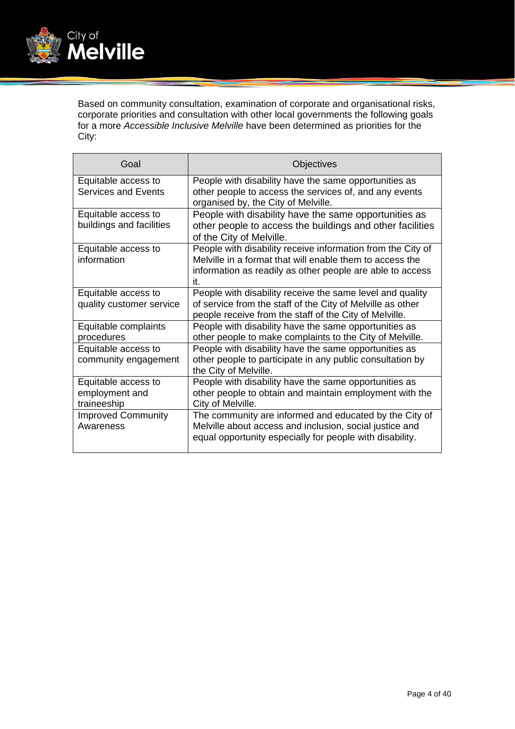

Based on community consultation, examination of corporate and organisational risks, corporate priorities and consultation with other local governments the following goals for a more *Accessible Inclusive Melville* have been determined as priorities for the City:

| Goal                                                 | Objectives                                                                                                                                                                                  |
|------------------------------------------------------|---------------------------------------------------------------------------------------------------------------------------------------------------------------------------------------------|
| Equitable access to<br><b>Services and Events</b>    | People with disability have the same opportunities as<br>other people to access the services of, and any events<br>organised by, the City of Melville.                                      |
| Equitable access to<br>buildings and facilities      | People with disability have the same opportunities as<br>other people to access the buildings and other facilities<br>of the City of Melville.                                              |
| Equitable access to<br>information                   | People with disability receive information from the City of<br>Melville in a format that will enable them to access the<br>information as readily as other people are able to access<br>it. |
| Equitable access to<br>quality customer service      | People with disability receive the same level and quality<br>of service from the staff of the City of Melville as other<br>people receive from the staff of the City of Melville.           |
| Equitable complaints<br>procedures                   | People with disability have the same opportunities as<br>other people to make complaints to the City of Melville.                                                                           |
| Equitable access to<br>community engagement          | People with disability have the same opportunities as<br>other people to participate in any public consultation by<br>the City of Melville.                                                 |
| Equitable access to<br>employment and<br>traineeship | People with disability have the same opportunities as<br>other people to obtain and maintain employment with the<br>City of Melville.                                                       |
| <b>Improved Community</b><br>Awareness               | The community are informed and educated by the City of<br>Melville about access and inclusion, social justice and<br>equal opportunity especially for people with disability.               |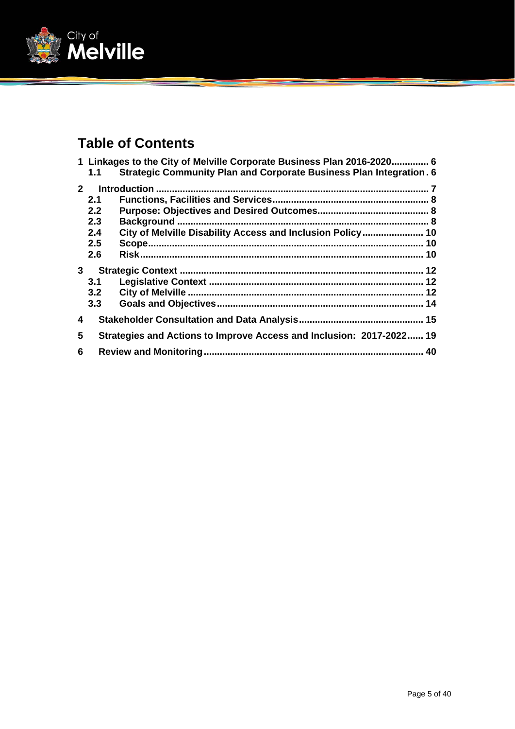

# **Table of Contents**

|                |                  | 1 Linkages to the City of Melville Corporate Business Plan 2016-2020 6     |  |
|----------------|------------------|----------------------------------------------------------------------------|--|
|                | 1.1              | <b>Strategic Community Plan and Corporate Business Plan Integration. 6</b> |  |
| 2 <sup>1</sup> |                  |                                                                            |  |
|                | 2.1              |                                                                            |  |
|                | 2.2 <sub>2</sub> |                                                                            |  |
|                | 2.3              |                                                                            |  |
|                | 2.4              | City of Melville Disability Access and Inclusion Policy 10                 |  |
|                | $2.5\phantom{0}$ |                                                                            |  |
|                | 2.6              |                                                                            |  |
| $\mathbf{3}$   |                  |                                                                            |  |
|                | 3.1              |                                                                            |  |
|                | 3.2              |                                                                            |  |
|                | 3.3              |                                                                            |  |
| 4              |                  |                                                                            |  |
| 5              |                  | Strategies and Actions to Improve Access and Inclusion: 2017-2022 19       |  |
| 6              |                  |                                                                            |  |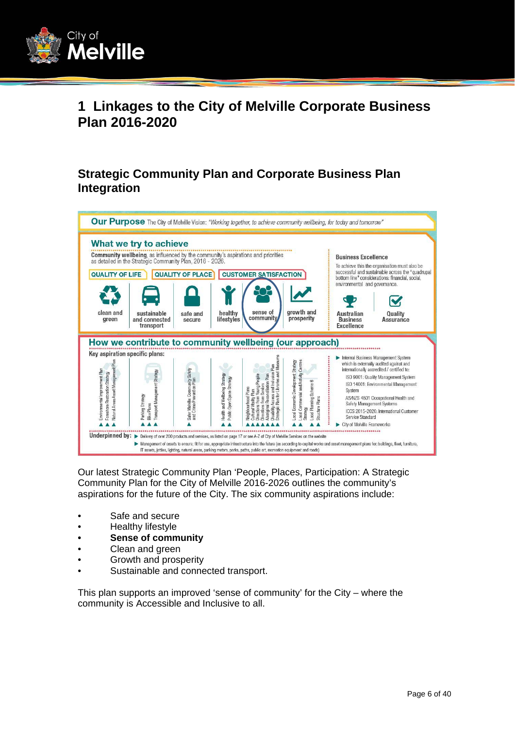

# **1 Linkages to the City of Melville Corporate Business Plan 2016-2020**

## **Strategic Community Plan and Corporate Business Plan Integration**



Our latest Strategic Community Plan 'People, Places, Participation: A Strategic Community Plan for the City of Melville 2016-2026 outlines the community's aspirations for the future of the City. The six community aspirations include:

- Safe and secure
- Healthy lifestyle
- **Sense of community**
- Clean and green
- Growth and prosperity
- Sustainable and connected transport.

This plan supports an improved 'sense of community' for the City – where the community is Accessible and Inclusive to all.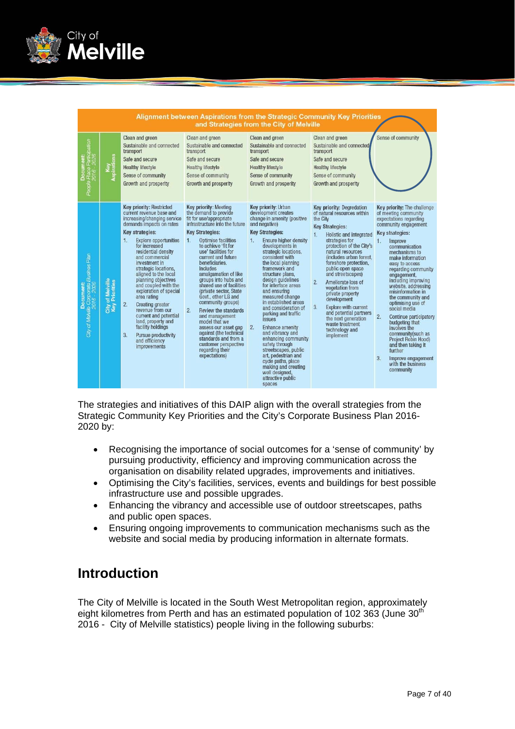

|                                                                    | Alignment between Aspirations from the Strategic Community Key Priorities<br>and Strategies from the City of Melville |                                                                                                                                                                                                                                                                                                                                                                                                                                                                                                                                                                                                   |                                                                                                                                                                                                                                                                                                                                                                                                                                                                                                                                                                                                                               |                                                                                                                                                                                                                                                                                                                                                                                                                                                                                                                                                                                                                                                                                               |                                                                                                                                                                                                                                                                                                                                                                                                                                                                                                                                                |                                                                                                                                                                                                                                                                                                                                                                                                                                                                                                                                                                                                                      |  |
|--------------------------------------------------------------------|-----------------------------------------------------------------------------------------------------------------------|---------------------------------------------------------------------------------------------------------------------------------------------------------------------------------------------------------------------------------------------------------------------------------------------------------------------------------------------------------------------------------------------------------------------------------------------------------------------------------------------------------------------------------------------------------------------------------------------------|-------------------------------------------------------------------------------------------------------------------------------------------------------------------------------------------------------------------------------------------------------------------------------------------------------------------------------------------------------------------------------------------------------------------------------------------------------------------------------------------------------------------------------------------------------------------------------------------------------------------------------|-----------------------------------------------------------------------------------------------------------------------------------------------------------------------------------------------------------------------------------------------------------------------------------------------------------------------------------------------------------------------------------------------------------------------------------------------------------------------------------------------------------------------------------------------------------------------------------------------------------------------------------------------------------------------------------------------|------------------------------------------------------------------------------------------------------------------------------------------------------------------------------------------------------------------------------------------------------------------------------------------------------------------------------------------------------------------------------------------------------------------------------------------------------------------------------------------------------------------------------------------------|----------------------------------------------------------------------------------------------------------------------------------------------------------------------------------------------------------------------------------------------------------------------------------------------------------------------------------------------------------------------------------------------------------------------------------------------------------------------------------------------------------------------------------------------------------------------------------------------------------------------|--|
| ipation<br>ople Place Particij<br>2016 - 2026<br>சீ                | <b>auo</b><br>Key<br>Aspirati                                                                                         | Clean and green<br>Sustainable and connected<br>transport<br>Safe and secure<br><b>Healthy lifestyle</b><br>Sense of community<br>Growth and prosperity                                                                                                                                                                                                                                                                                                                                                                                                                                           | Clean and green<br>Sustainable and connected<br>transport<br>Safe and secure<br><b>Healthy lifestyle</b><br>Sense of community<br>Growth and prosperity                                                                                                                                                                                                                                                                                                                                                                                                                                                                       | Clean and green<br>Sustainable and connected<br>transport<br>Safe and secure<br><b>Healthy lifestyle</b><br>Sense of community<br>Growth and prosperity                                                                                                                                                                                                                                                                                                                                                                                                                                                                                                                                       | Clean and green<br>Sustainable and connected<br>transport<br>Safe and secure<br><b>Healthy lifestyle</b><br>Sense of community<br>Growth and prosperity                                                                                                                                                                                                                                                                                                                                                                                        | Sense of community                                                                                                                                                                                                                                                                                                                                                                                                                                                                                                                                                                                                   |  |
| Document:<br>City of Mahille Corporate Busines Plan<br>2016 - 2020 | City of Melville<br>Key Priorities                                                                                    | <b>Key priority: Restricted</b><br>current revenue base and<br>increasing/changing service<br>demands impacts on rates<br>Key strategies:<br>1.<br><b>Explore opportunities</b><br>for increased<br>residential density<br>and commercial<br>investment in<br>strategic locations,<br>aligned to the local<br>planning objectives<br>and coupled with the<br>exploration of special<br>area rating<br>2.<br><b>Creating greater</b><br>revenue from our<br>current and potential<br>land, property and<br>facility holdings<br>3.<br>Pursue productivity<br>and efficiency<br><i>improvements</i> | Key priority: Meeting<br>the demand to provide<br>fit for use/appropriate<br>infrastructure into the future<br><b>Key Strategies:</b><br>Optimise facilities<br>1.<br>to achieve 'fit for<br>use' facilities for<br>current and future<br>beneficiaries.<br>Includes<br>amalgamation of like<br>groups into hubs and<br>shared use of facilities<br>(private sector, State<br>Govt., other LG and<br>community groups)<br>2.<br>Review the standards<br>and management<br>model that we<br>assess our asset gap<br>against (the technical<br>standards and from a<br>customer perspective<br>regarding their<br>expectations) | Key priority: Urban<br>development creates<br>change in amenity (positive<br>and negative)<br><b>Key Strategies:</b><br><b>Ensure higher density</b><br>1.<br>developments in<br>strategic locations.<br>consistent with<br>the local planning<br>framework and<br>structure plans,<br>design quidelines<br>for interface areas<br>and ensuring<br>measured change<br>in established areas<br>and consideration of<br>parking and traffic<br><i>issues</i><br>2.<br>Enhance amenity<br>and vibrancy and<br>enhancing community<br>safety through<br>streetscapes, public<br>art, pedestrian and<br>cycle paths, place<br>making and creating<br>well designed,<br>attractive public<br>spaces | <b>Key priority: Degredation</b><br>of natural resources within<br>the City<br><b>Key Strategies:</b><br>$\mathbf{1}$ .<br>Holistic and integrated<br>strategies for<br>protection of the City's<br>natural resources<br>(includes urban forest.)<br>foreshore protection,<br>public open space<br>and streetscapes)<br>2.<br>Ameliorate loss of<br>vegetation from<br>private property<br>development<br>3.<br><b>Explore with current</b><br>and potential partners<br>the next generation<br>waste treatment<br>technology and<br>implement | Key priority: The challenge<br>of meeting community<br>expectations regarding<br>community engagement<br>Key strategies:<br>$\mathbf{1}$ .<br>Improve<br>communication<br>mechanisms to<br>make information<br>easy to access<br>regarding community<br>engagement,<br>including improving<br>website, addressing<br>misinformation in<br>the community and<br>optimising use of<br>social media<br>2.<br>Continue participatory<br>budgeting that<br>involves the<br>community(such as<br><b>Project Robin Hood)</b><br>and then taking it<br>further<br>3.<br>Improve engagement<br>with the business<br>community |  |

The strategies and initiatives of this DAIP align with the overall strategies from the Strategic Community Key Priorities and the City's Corporate Business Plan 2016- 2020 by:

- Recognising the importance of social outcomes for a 'sense of community' by pursuing productivity, efficiency and improving communication across the organisation on disability related upgrades, improvements and initiatives.
- Optimising the City's facilities, services, events and buildings for best possible infrastructure use and possible upgrades.
- Enhancing the vibrancy and accessible use of outdoor streetscapes, paths and public open spaces.
- Ensuring ongoing improvements to communication mechanisms such as the website and social media by producing information in alternate formats.

# **Introduction**

The City of Melville is located in the South West Metropolitan region, approximately eight kilometres from Perth and has an estimated population of 102 363 (June 30<sup>th</sup>) 2016 - City of Melville statistics) people living in the following suburbs: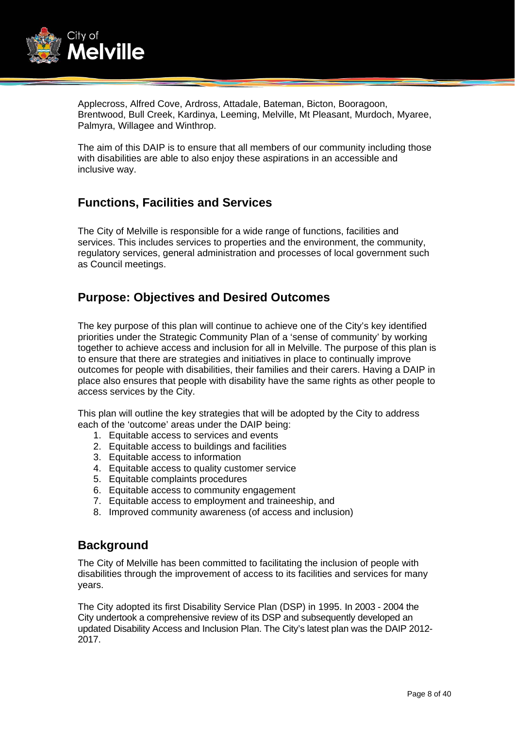

Applecross, Alfred Cove, Ardross, Attadale, Bateman, Bicton, Booragoon, Brentwood, Bull Creek, Kardinya, Leeming, Melville, Mt Pleasant, Murdoch, Myaree, Palmyra, Willagee and Winthrop.

The aim of this DAIP is to ensure that all members of our community including those with disabilities are able to also enjoy these aspirations in an accessible and inclusive way.

## **Functions, Facilities and Services**

The City of Melville is responsible for a wide range of functions, facilities and services. This includes services to properties and the environment, the community, regulatory services, general administration and processes of local government such as Council meetings.

## **Purpose: Objectives and Desired Outcomes**

The key purpose of this plan will continue to achieve one of the City's key identified priorities under the Strategic Community Plan of a 'sense of community' by working together to achieve access and inclusion for all in Melville. The purpose of this plan is to ensure that there are strategies and initiatives in place to continually improve outcomes for people with disabilities, their families and their carers. Having a DAIP in place also ensures that people with disability have the same rights as other people to access services by the City.

This plan will outline the key strategies that will be adopted by the City to address each of the 'outcome' areas under the DAIP being:

- 1. Equitable access to services and events
- 2. Equitable access to buildings and facilities
- 3. Equitable access to information
- 4. Equitable access to quality customer service
- 5. Equitable complaints procedures
- 6. Equitable access to community engagement
- 7. Equitable access to employment and traineeship, and
- 8. Improved community awareness (of access and inclusion)

### **Background**

The City of Melville has been committed to facilitating the inclusion of people with disabilities through the improvement of access to its facilities and services for many years.

The City adopted its first Disability Service Plan (DSP) in 1995. In 2003 - 2004 the City undertook a comprehensive review of its DSP and subsequently developed an updated Disability Access and Inclusion Plan. The City's latest plan was the DAIP 2012- 2017.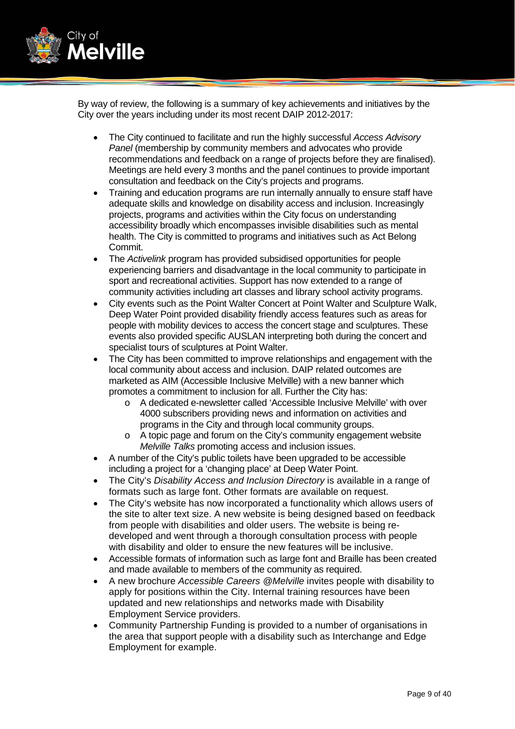

By way of review, the following is a summary of key achievements and initiatives by the City over the years including under its most recent DAIP 2012-2017:

- The City continued to facilitate and run the highly successful *Access Advisory Panel* (membership by community members and advocates who provide recommendations and feedback on a range of projects before they are finalised). Meetings are held every 3 months and the panel continues to provide important consultation and feedback on the City's projects and programs.
- Training and education programs are run internally annually to ensure staff have adequate skills and knowledge on disability access and inclusion. Increasingly projects, programs and activities within the City focus on understanding accessibility broadly which encompasses invisible disabilities such as mental health. The City is committed to programs and initiatives such as Act Belong Commit.
- The *Activelink* program has provided subsidised opportunities for people experiencing barriers and disadvantage in the local community to participate in sport and recreational activities. Support has now extended to a range of community activities including art classes and library school activity programs.
- City events such as the Point Walter Concert at Point Walter and Sculpture Walk, Deep Water Point provided disability friendly access features such as areas for people with mobility devices to access the concert stage and sculptures. These events also provided specific AUSLAN interpreting both during the concert and specialist tours of sculptures at Point Walter.
- The City has been committed to improve relationships and engagement with the local community about access and inclusion. DAIP related outcomes are marketed as AIM (Accessible Inclusive Melville) with a new banner which promotes a commitment to inclusion for all. Further the City has:
	- o A dedicated e-newsletter called 'Accessible Inclusive Melville' with over 4000 subscribers providing news and information on activities and programs in the City and through local community groups.
	- o A topic page and forum on the City's community engagement website *Melville Talks* promoting access and inclusion issues.
- A number of the City's public toilets have been upgraded to be accessible including a project for a 'changing place' at Deep Water Point.
- The City's *Disability Access and Inclusion Directory* is available in a range of formats such as large font. Other formats are available on request.
- The City's website has now incorporated a functionality which allows users of the site to alter text size. A new website is being designed based on feedback from people with disabilities and older users. The website is being redeveloped and went through a thorough consultation process with people with disability and older to ensure the new features will be inclusive.
- Accessible formats of information such as large font and Braille has been created and made available to members of the community as required.
- A new brochure *Accessible Careers @Melville* invites people with disability to apply for positions within the City. Internal training resources have been updated and new relationships and networks made with Disability Employment Service providers.
- Community Partnership Funding is provided to a number of organisations in the area that support people with a disability such as Interchange and Edge Employment for example.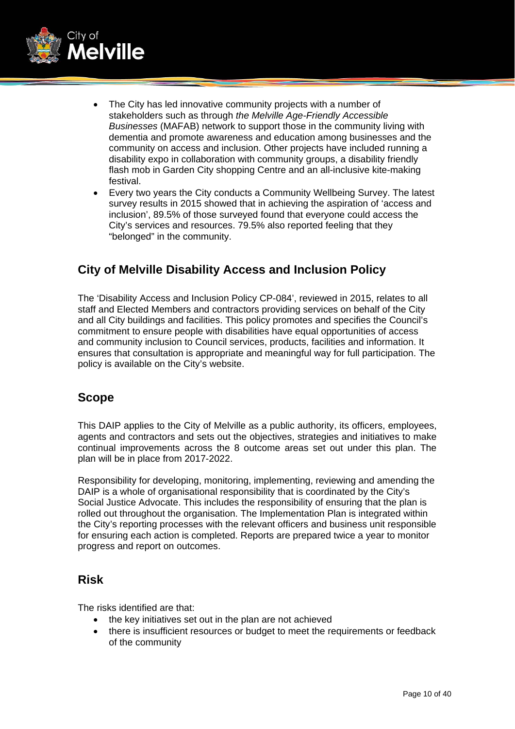

- The City has led innovative community projects with a number of stakeholders such as through *the Melville Age-Friendly Accessible Businesses* (MAFAB) network to support those in the community living with dementia and promote awareness and education among businesses and the community on access and inclusion. Other projects have included running a disability expo in collaboration with community groups, a disability friendly flash mob in Garden City shopping Centre and an all-inclusive kite-making festival.
- Every two years the City conducts a Community Wellbeing Survey. The latest survey results in 2015 showed that in achieving the aspiration of 'access and inclusion', 89.5% of those surveyed found that everyone could access the City's services and resources. 79.5% also reported feeling that they "belonged" in the community.

## **City of Melville Disability Access and Inclusion Policy**

The 'Disability Access and Inclusion Policy CP-084', reviewed in 2015, relates to all staff and Elected Members and contractors providing services on behalf of the City and all City buildings and facilities. This policy promotes and specifies the Council's commitment to ensure people with disabilities have equal opportunities of access and community inclusion to Council services, products, facilities and information. It ensures that consultation is appropriate and meaningful way for full participation. The policy is available on the City's website.

## **Scope**

This DAIP applies to the City of Melville as a public authority, its officers, employees, agents and contractors and sets out the objectives, strategies and initiatives to make continual improvements across the 8 outcome areas set out under this plan. The plan will be in place from 2017-2022.

Responsibility for developing, monitoring, implementing, reviewing and amending the DAIP is a whole of organisational responsibility that is coordinated by the City's Social Justice Advocate. This includes the responsibility of ensuring that the plan is rolled out throughout the organisation. The Implementation Plan is integrated within the City's reporting processes with the relevant officers and business unit responsible for ensuring each action is completed. Reports are prepared twice a year to monitor progress and report on outcomes.

## **Risk**

The risks identified are that:

- the key initiatives set out in the plan are not achieved
- there is insufficient resources or budget to meet the requirements or feedback of the community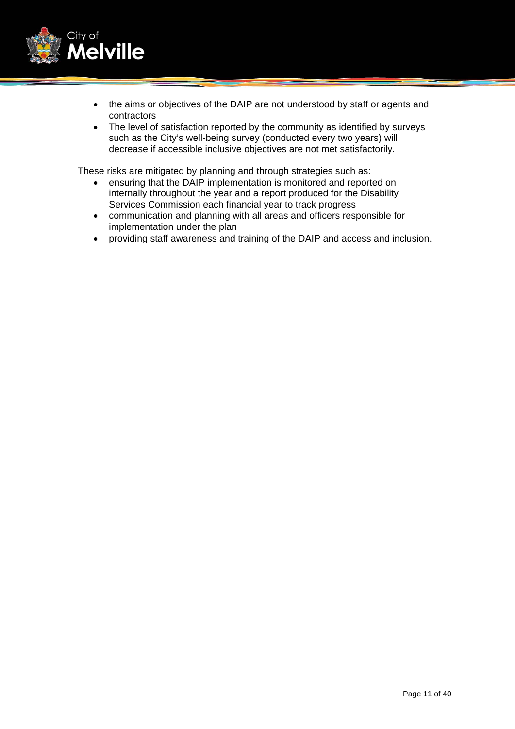

- the aims or objectives of the DAIP are not understood by staff or agents and contractors
- The level of satisfaction reported by the community as identified by surveys such as the City's well-being survey (conducted every two years) will decrease if accessible inclusive objectives are not met satisfactorily.

These risks are mitigated by planning and through strategies such as:

- ensuring that the DAIP implementation is monitored and reported on internally throughout the year and a report produced for the Disability Services Commission each financial year to track progress
- communication and planning with all areas and officers responsible for implementation under the plan
- providing staff awareness and training of the DAIP and access and inclusion.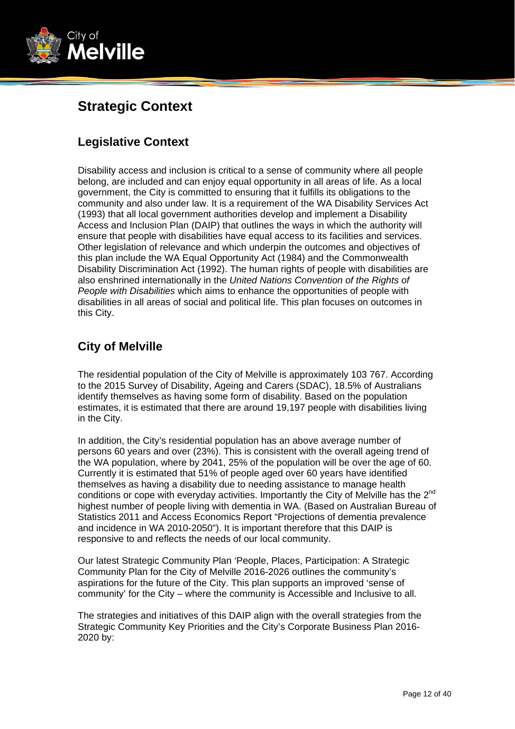

# **Strategic Context**

## **Legislative Context**

Disability access and inclusion is critical to a sense of community where all people belong, are included and can enjoy equal opportunity in all areas of life. As a local government, the City is committed to ensuring that it fulfills its obligations to the community and also under law. It is a requirement of the WA Disability Services Act (1993) that all local government authorities develop and implement a Disability Access and Inclusion Plan (DAIP) that outlines the ways in which the authority will ensure that people with disabilities have equal access to its facilities and services. Other legislation of relevance and which underpin the outcomes and objectives of this plan include the WA Equal Opportunity Act (1984) and the Commonwealth Disability Discrimination Act (1992). The human rights of people with disabilities are also enshrined internationally in the *United Nations Convention of the Rights of People with Disabilities* which aims to enhance the opportunities of people with disabilities in all areas of social and political life. This plan focuses on outcomes in this City.

## **City of Melville**

The residential population of the City of Melville is approximately 103 767. According to the 2015 Survey of Disability, Ageing and Carers (SDAC), 18.5% of Australians identify themselves as having some form of disability. Based on the population estimates, it is estimated that there are around 19,197 people with disabilities living in the City.

In addition, the City's residential population has an above average number of persons 60 years and over (23%). This is consistent with the overall ageing trend of the WA population, where by 2041, 25% of the population will be over the age of 60. Currently it is estimated that 51% of people aged over 60 years have identified themselves as having a disability due to needing assistance to manage health conditions or cope with everyday activities. Importantly the City of Melville has the 2<sup>nd</sup> highest number of people living with dementia in WA. (Based on Australian Bureau of Statistics 2011 and Access Economics Report "Projections of dementia prevalence and incidence in WA 2010-2050"). It is important therefore that this DAIP is responsive to and reflects the needs of our local community.

Our latest Strategic Community Plan 'People, Places, Participation: A Strategic Community Plan for the City of Melville 2016-2026 outlines the community's aspirations for the future of the City. This plan supports an improved 'sense of community' for the City – where the community is Accessible and Inclusive to all.

The strategies and initiatives of this DAIP align with the overall strategies from the Strategic Community Key Priorities and the City's Corporate Business Plan 2016- 2020 by: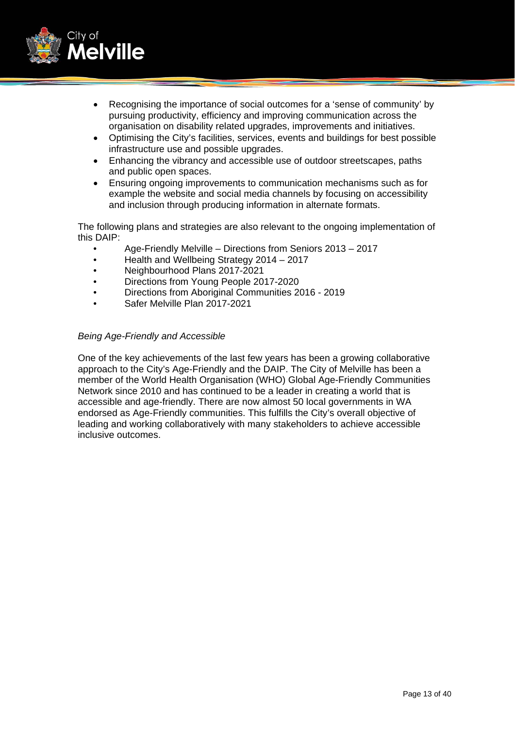

- Recognising the importance of social outcomes for a 'sense of community' by pursuing productivity, efficiency and improving communication across the organisation on disability related upgrades, improvements and initiatives.
- Optimising the City's facilities, services, events and buildings for best possible infrastructure use and possible upgrades.
- Enhancing the vibrancy and accessible use of outdoor streetscapes, paths and public open spaces.
- Ensuring ongoing improvements to communication mechanisms such as for example the website and social media channels by focusing on accessibility and inclusion through producing information in alternate formats.

The following plans and strategies are also relevant to the ongoing implementation of this DAIP:

- Age-Friendly Melville Directions from Seniors 2013 2017
- Health and Wellbeing Strategy 2014 2017
- Neighbourhood Plans 2017-2021
- Directions from Young People 2017-2020
- Directions from Aboriginal Communities 2016 2019
- Safer Melville Plan 2017-2021

#### *Being Age-Friendly and Accessible*

One of the key achievements of the last few years has been a growing collaborative approach to the City's Age-Friendly and the DAIP. The City of Melville has been a member of the World Health Organisation (WHO) Global Age-Friendly Communities Network since 2010 and has continued to be a leader in creating a world that is accessible and age-friendly. There are now almost 50 local governments in WA endorsed as Age-Friendly communities. This fulfills the City's overall objective of leading and working collaboratively with many stakeholders to achieve accessible inclusive outcomes.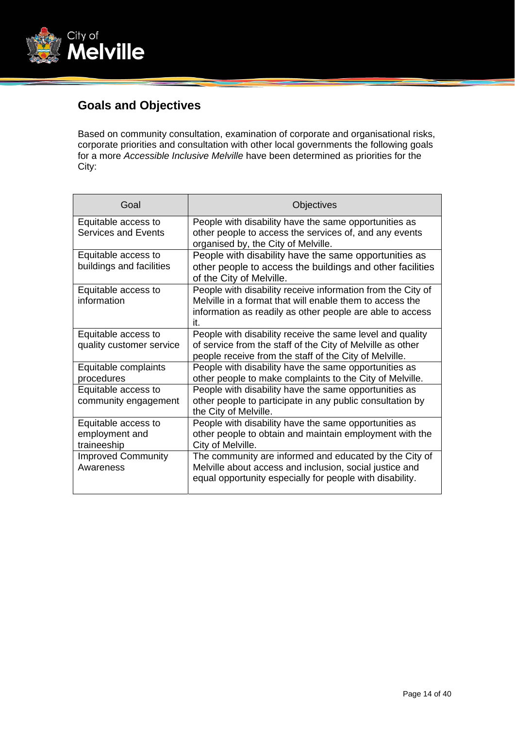

## **Goals and Objectives**

Based on community consultation, examination of corporate and organisational risks, corporate priorities and consultation with other local governments the following goals for a more *Accessible Inclusive Melville* have been determined as priorities for the City:

| Goal                                                 | Objectives                                                                                                                                                                                  |
|------------------------------------------------------|---------------------------------------------------------------------------------------------------------------------------------------------------------------------------------------------|
| Equitable access to<br><b>Services and Events</b>    | People with disability have the same opportunities as<br>other people to access the services of, and any events<br>organised by, the City of Melville.                                      |
| Equitable access to<br>buildings and facilities      | People with disability have the same opportunities as<br>other people to access the buildings and other facilities<br>of the City of Melville.                                              |
| Equitable access to<br>information                   | People with disability receive information from the City of<br>Melville in a format that will enable them to access the<br>information as readily as other people are able to access<br>it. |
| Equitable access to<br>quality customer service      | People with disability receive the same level and quality<br>of service from the staff of the City of Melville as other<br>people receive from the staff of the City of Melville.           |
| Equitable complaints<br>procedures                   | People with disability have the same opportunities as<br>other people to make complaints to the City of Melville.                                                                           |
| Equitable access to<br>community engagement          | People with disability have the same opportunities as<br>other people to participate in any public consultation by<br>the City of Melville.                                                 |
| Equitable access to<br>employment and<br>traineeship | People with disability have the same opportunities as<br>other people to obtain and maintain employment with the<br>City of Melville.                                                       |
| <b>Improved Community</b><br>Awareness               | The community are informed and educated by the City of<br>Melville about access and inclusion, social justice and<br>equal opportunity especially for people with disability.               |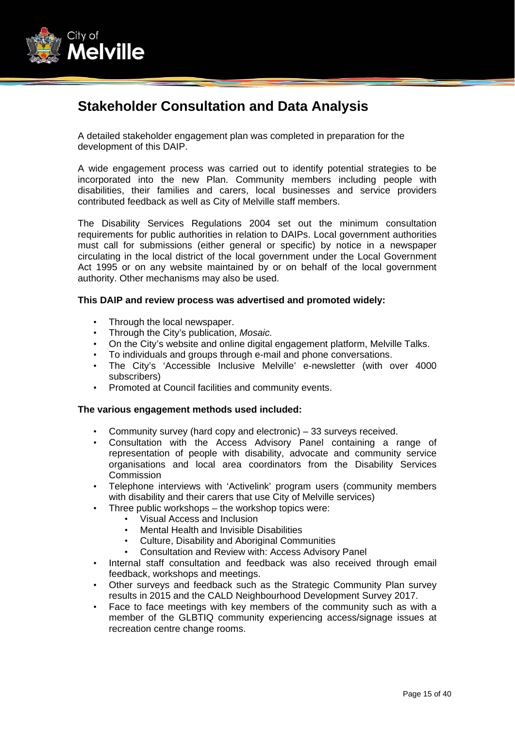

# **Stakeholder Consultation and Data Analysis**

A detailed stakeholder engagement plan was completed in preparation for the development of this DAIP.

A wide engagement process was carried out to identify potential strategies to be incorporated into the new Plan. Community members including people with disabilities, their families and carers, local businesses and service providers contributed feedback as well as City of Melville staff members.

The Disability Services Regulations 2004 set out the minimum consultation requirements for public authorities in relation to DAIPs. Local government authorities must call for submissions (either general or specific) by notice in a newspaper circulating in the local district of the local government under the Local Government Act 1995 or on any website maintained by or on behalf of the local government authority. Other mechanisms may also be used.

#### **This DAIP and review process was advertised and promoted widely:**

- Through the local newspaper.
- Through the City's publication, *Mosaic.*
- On the City's website and online digital engagement platform, Melville Talks.
- To individuals and groups through e-mail and phone conversations.
- The City's 'Accessible Inclusive Melville' e-newsletter (with over 4000 subscribers)
- Promoted at Council facilities and community events.

#### **The various engagement methods used included:**

- Community survey (hard copy and electronic) 33 surveys received.
- Consultation with the Access Advisory Panel containing a range of representation of people with disability, advocate and community service organisations and local area coordinators from the Disability Services **Commission**
- Telephone interviews with 'Activelink' program users (community members with disability and their carers that use City of Melville services)
- Three public workshops the workshop topics were:
	- Visual Access and Inclusion
	- Mental Health and Invisible Disabilities
	- Culture, Disability and Aboriginal Communities
	- Consultation and Review with: Access Advisory Panel
- Internal staff consultation and feedback was also received through email feedback, workshops and meetings.
- Other surveys and feedback such as the Strategic Community Plan survey results in 2015 and the CALD Neighbourhood Development Survey 2017.
- Face to face meetings with key members of the community such as with a member of the GLBTIQ community experiencing access/signage issues at recreation centre change rooms.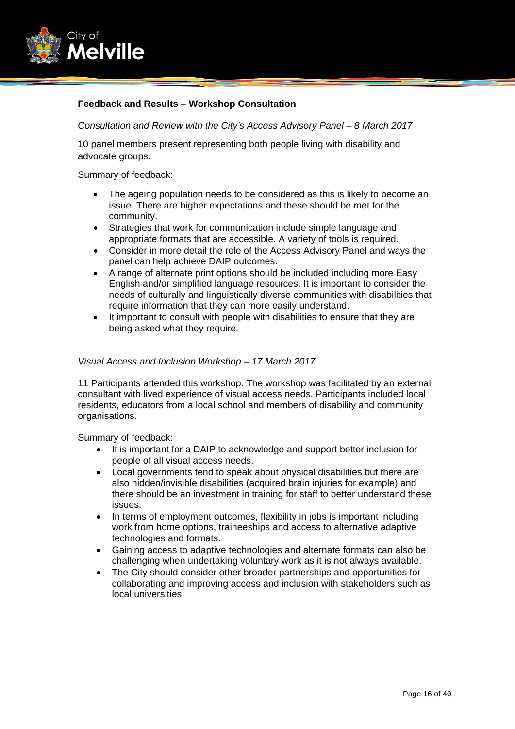

#### **Feedback and Results – Workshop Consultation**

*Consultation and Review with the City's Access Advisory Panel – 8 March 2017* 

10 panel members present representing both people living with disability and advocate groups.

Summary of feedback:

- The ageing population needs to be considered as this is likely to become an issue. There are higher expectations and these should be met for the community.
- Strategies that work for communication include simple language and appropriate formats that are accessible. A variety of tools is required.
- Consider in more detail the role of the Access Advisory Panel and ways the panel can help achieve DAIP outcomes.
- A range of alternate print options should be included including more Easy English and/or simplified language resources. It is important to consider the needs of culturally and linguistically diverse communities with disabilities that require information that they can more easily understand.
- It important to consult with people with disabilities to ensure that they are being asked what they require.

#### *Visual Access and Inclusion Workshop – 17 March 2017*

11 Participants attended this workshop. The workshop was facilitated by an external consultant with lived experience of visual access needs. Participants included local residents, educators from a local school and members of disability and community organisations.

Summary of feedback:

- It is important for a DAIP to acknowledge and support better inclusion for people of all visual access needs.
- Local governments tend to speak about physical disabilities but there are also hidden/invisible disabilities (acquired brain injuries for example) and there should be an investment in training for staff to better understand these issues.
- In terms of employment outcomes, flexibility in jobs is important including work from home options, traineeships and access to alternative adaptive technologies and formats.
- Gaining access to adaptive technologies and alternate formats can also be challenging when undertaking voluntary work as it is not always available.
- The City should consider other broader partnerships and opportunities for collaborating and improving access and inclusion with stakeholders such as local universities.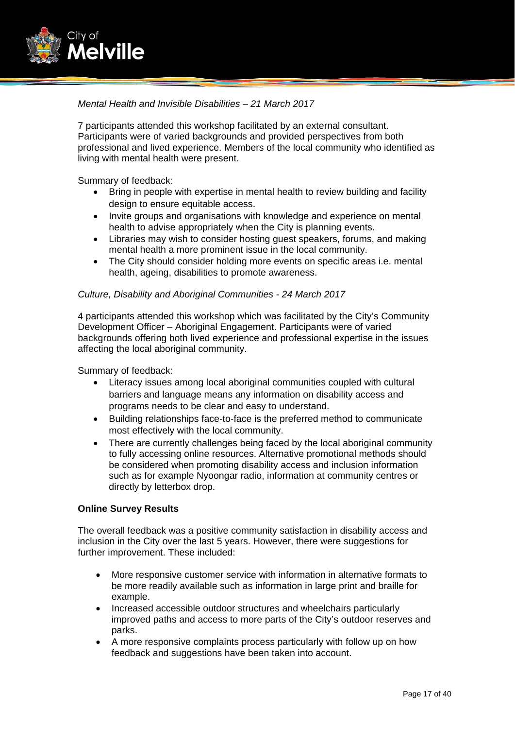

#### *Mental Health and Invisible Disabilities – 21 March 2017*

7 participants attended this workshop facilitated by an external consultant. Participants were of varied backgrounds and provided perspectives from both professional and lived experience. Members of the local community who identified as living with mental health were present.

Summary of feedback:

- Bring in people with expertise in mental health to review building and facility design to ensure equitable access.
- Invite groups and organisations with knowledge and experience on mental health to advise appropriately when the City is planning events.
- Libraries may wish to consider hosting guest speakers, forums, and making mental health a more prominent issue in the local community.
- The City should consider holding more events on specific areas i.e. mental health, ageing, disabilities to promote awareness.

#### *Culture, Disability and Aboriginal Communities - 24 March 2017*

4 participants attended this workshop which was facilitated by the City's Community Development Officer – Aboriginal Engagement. Participants were of varied backgrounds offering both lived experience and professional expertise in the issues affecting the local aboriginal community.

Summary of feedback:

- Literacy issues among local aboriginal communities coupled with cultural barriers and language means any information on disability access and programs needs to be clear and easy to understand.
- Building relationships face-to-face is the preferred method to communicate most effectively with the local community.
- There are currently challenges being faced by the local aboriginal community to fully accessing online resources. Alternative promotional methods should be considered when promoting disability access and inclusion information such as for example Nyoongar radio, information at community centres or directly by letterbox drop.

#### **Online Survey Results**

The overall feedback was a positive community satisfaction in disability access and inclusion in the City over the last 5 years. However, there were suggestions for further improvement. These included:

- More responsive customer service with information in alternative formats to be more readily available such as information in large print and braille for example.
- Increased accessible outdoor structures and wheelchairs particularly improved paths and access to more parts of the City's outdoor reserves and parks.
- A more responsive complaints process particularly with follow up on how feedback and suggestions have been taken into account.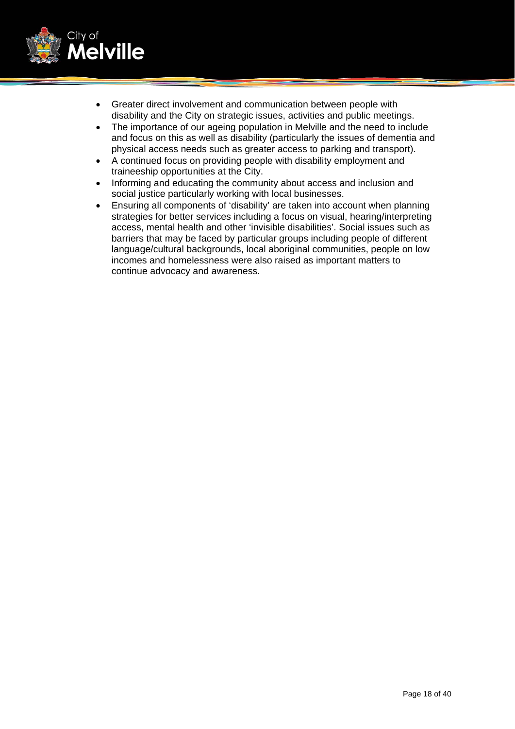

- Greater direct involvement and communication between people with disability and the City on strategic issues, activities and public meetings.
- The importance of our ageing population in Melville and the need to include and focus on this as well as disability (particularly the issues of dementia and physical access needs such as greater access to parking and transport).
- A continued focus on providing people with disability employment and traineeship opportunities at the City.
- Informing and educating the community about access and inclusion and social justice particularly working with local businesses.
- Ensuring all components of 'disability' are taken into account when planning strategies for better services including a focus on visual, hearing/interpreting access, mental health and other 'invisible disabilities'. Social issues such as barriers that may be faced by particular groups including people of different language/cultural backgrounds, local aboriginal communities, people on low incomes and homelessness were also raised as important matters to continue advocacy and awareness.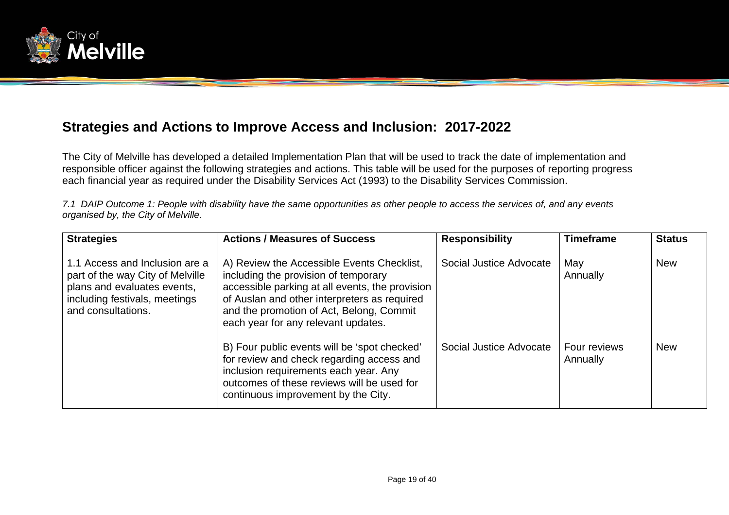

## **Strategies and Actions to Improve Access and Inclusion: 2017-2022**

The City of Melville has developed a detailed Implementation Plan that will be used to track the date of implementation and responsible officer against the following strategies and actions. This table will be used for the purposes of reporting progress each financial year as required under the Disability Services Act (1993) to the Disability Services Commission.

*7.1 DAIP Outcome 1: People with disability have the same opportunities as other people to access the services of, and any events organised by, the City of Melville.* 

| <b>Strategies</b>                                                                                                                                        | <b>Actions / Measures of Success</b>                                                                                                                                                                                                                                     | <b>Responsibility</b>   | <b>Timeframe</b>         | <b>Status</b> |
|----------------------------------------------------------------------------------------------------------------------------------------------------------|--------------------------------------------------------------------------------------------------------------------------------------------------------------------------------------------------------------------------------------------------------------------------|-------------------------|--------------------------|---------------|
| 1.1 Access and Inclusion are a<br>part of the way City of Melville<br>plans and evaluates events,<br>including festivals, meetings<br>and consultations. | A) Review the Accessible Events Checklist,<br>including the provision of temporary<br>accessible parking at all events, the provision<br>of Auslan and other interpreters as required<br>and the promotion of Act, Belong, Commit<br>each year for any relevant updates. | Social Justice Advocate | May<br>Annually          | <b>New</b>    |
|                                                                                                                                                          | B) Four public events will be 'spot checked'<br>for review and check regarding access and<br>inclusion requirements each year. Any<br>outcomes of these reviews will be used for<br>continuous improvement by the City.                                                  | Social Justice Advocate | Four reviews<br>Annually | <b>New</b>    |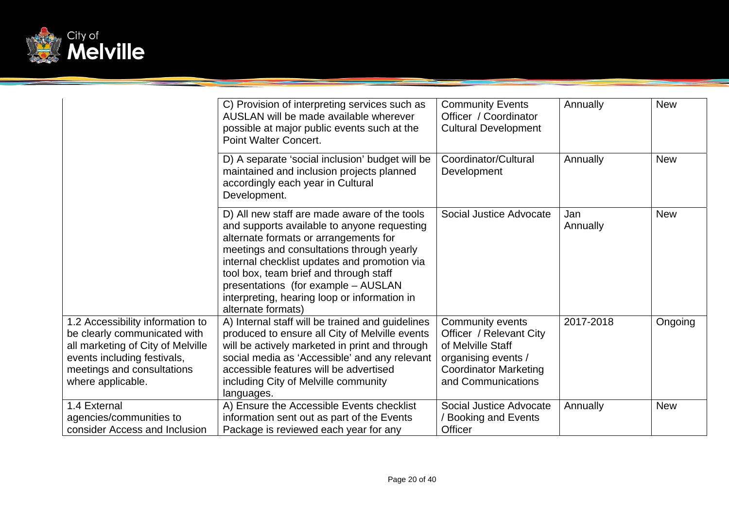

|                                                                                                                                                                                         | C) Provision of interpreting services such as<br>AUSLAN will be made available wherever<br>possible at major public events such at the<br><b>Point Walter Concert.</b>                                                                                                                                                                                                                   | <b>Community Events</b><br>Officer / Coordinator<br><b>Cultural Development</b>                                                               | Annually        | <b>New</b> |
|-----------------------------------------------------------------------------------------------------------------------------------------------------------------------------------------|------------------------------------------------------------------------------------------------------------------------------------------------------------------------------------------------------------------------------------------------------------------------------------------------------------------------------------------------------------------------------------------|-----------------------------------------------------------------------------------------------------------------------------------------------|-----------------|------------|
|                                                                                                                                                                                         | D) A separate 'social inclusion' budget will be<br>maintained and inclusion projects planned<br>accordingly each year in Cultural<br>Development.                                                                                                                                                                                                                                        | Coordinator/Cultural<br>Development                                                                                                           | Annually        | <b>New</b> |
|                                                                                                                                                                                         | D) All new staff are made aware of the tools<br>and supports available to anyone requesting<br>alternate formats or arrangements for<br>meetings and consultations through yearly<br>internal checklist updates and promotion via<br>tool box, team brief and through staff<br>presentations (for example - AUSLAN<br>interpreting, hearing loop or information in<br>alternate formats) | Social Justice Advocate                                                                                                                       | Jan<br>Annually | <b>New</b> |
| 1.2 Accessibility information to<br>be clearly communicated with<br>all marketing of City of Melville<br>events including festivals,<br>meetings and consultations<br>where applicable. | A) Internal staff will be trained and guidelines<br>produced to ensure all City of Melville events<br>will be actively marketed in print and through<br>social media as 'Accessible' and any relevant<br>accessible features will be advertised<br>including City of Melville community<br>languages.                                                                                    | Community events<br>Officer / Relevant City<br>of Melville Staff<br>organising events /<br><b>Coordinator Marketing</b><br>and Communications | 2017-2018       | Ongoing    |
| 1.4 External<br>agencies/communities to<br>consider Access and Inclusion                                                                                                                | A) Ensure the Accessible Events checklist<br>information sent out as part of the Events<br>Package is reviewed each year for any                                                                                                                                                                                                                                                         | Social Justice Advocate<br>/ Booking and Events<br>Officer                                                                                    | Annually        | <b>New</b> |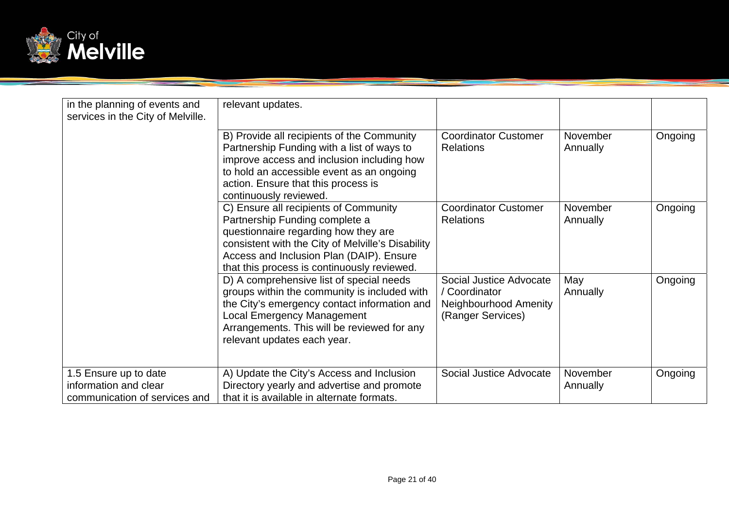

| in the planning of events and<br>services in the City of Melville.              | relevant updates.                                                                                                                                                                                                                                               |                                                                                        |                      |         |
|---------------------------------------------------------------------------------|-----------------------------------------------------------------------------------------------------------------------------------------------------------------------------------------------------------------------------------------------------------------|----------------------------------------------------------------------------------------|----------------------|---------|
|                                                                                 | B) Provide all recipients of the Community<br>Partnership Funding with a list of ways to<br>improve access and inclusion including how<br>to hold an accessible event as an ongoing<br>action. Ensure that this process is<br>continuously reviewed.            | <b>Coordinator Customer</b><br><b>Relations</b>                                        | November<br>Annually | Ongoing |
|                                                                                 | C) Ensure all recipients of Community<br>Partnership Funding complete a<br>questionnaire regarding how they are<br>consistent with the City of Melville's Disability<br>Access and Inclusion Plan (DAIP). Ensure<br>that this process is continuously reviewed. | <b>Coordinator Customer</b><br><b>Relations</b>                                        | November<br>Annually | Ongoing |
|                                                                                 | D) A comprehensive list of special needs<br>groups within the community is included with<br>the City's emergency contact information and<br><b>Local Emergency Management</b><br>Arrangements. This will be reviewed for any<br>relevant updates each year.     | Social Justice Advocate<br>/ Coordinator<br>Neighbourhood Amenity<br>(Ranger Services) | May<br>Annually      | Ongoing |
| 1.5 Ensure up to date<br>information and clear<br>communication of services and | A) Update the City's Access and Inclusion<br>Directory yearly and advertise and promote<br>that it is available in alternate formats.                                                                                                                           | Social Justice Advocate                                                                | November<br>Annually | Ongoing |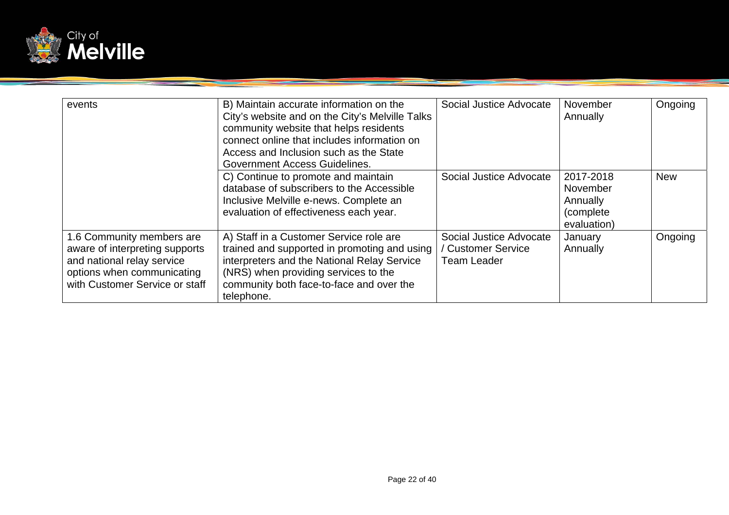

| events                                                                                                                                                    | B) Maintain accurate information on the<br>City's website and on the City's Melville Talks<br>community website that helps residents<br>connect online that includes information on<br>Access and Inclusion such as the State<br>Government Access Guidelines. | Social Justice Advocate                                             | November<br>Annually                                           | Ongoing    |
|-----------------------------------------------------------------------------------------------------------------------------------------------------------|----------------------------------------------------------------------------------------------------------------------------------------------------------------------------------------------------------------------------------------------------------------|---------------------------------------------------------------------|----------------------------------------------------------------|------------|
|                                                                                                                                                           | C) Continue to promote and maintain<br>database of subscribers to the Accessible<br>Inclusive Melville e-news. Complete an<br>evaluation of effectiveness each year.                                                                                           | Social Justice Advocate                                             | 2017-2018<br>November<br>Annually<br>(complete)<br>evaluation) | <b>New</b> |
| 1.6 Community members are<br>aware of interpreting supports<br>and national relay service<br>options when communicating<br>with Customer Service or staff | A) Staff in a Customer Service role are<br>trained and supported in promoting and using<br>interpreters and the National Relay Service<br>(NRS) when providing services to the<br>community both face-to-face and over the<br>telephone.                       | Social Justice Advocate<br>/ Customer Service<br><b>Team Leader</b> | January<br>Annually                                            | Ongoing    |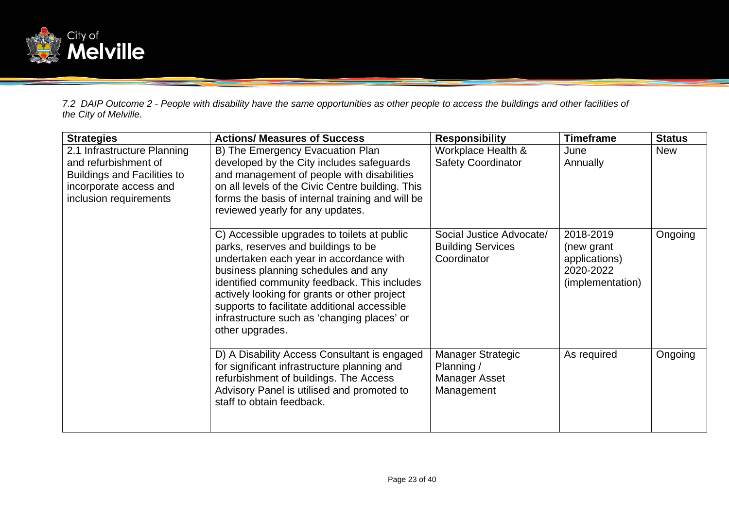

*7.2 DAIP Outcome 2 - People with disability have the same opportunities as other people to access the buildings and other facilities of the City of Melville.* 

| <b>Strategies</b>                                                                                                                             | <b>Actions/ Measures of Success</b>                                                                                                                                                                                                                                                                                                                                                    | <b>Responsibility</b>                                                        | <b>Timeframe</b>                                                          | <b>Status</b> |
|-----------------------------------------------------------------------------------------------------------------------------------------------|----------------------------------------------------------------------------------------------------------------------------------------------------------------------------------------------------------------------------------------------------------------------------------------------------------------------------------------------------------------------------------------|------------------------------------------------------------------------------|---------------------------------------------------------------------------|---------------|
| 2.1 Infrastructure Planning<br>and refurbishment of<br><b>Buildings and Facilities to</b><br>incorporate access and<br>inclusion requirements | B) The Emergency Evacuation Plan<br>developed by the City includes safeguards<br>and management of people with disabilities<br>on all levels of the Civic Centre building. This<br>forms the basis of internal training and will be<br>reviewed yearly for any updates.                                                                                                                | Workplace Health &<br><b>Safety Coordinator</b>                              | June<br>Annually                                                          | <b>New</b>    |
|                                                                                                                                               | C) Accessible upgrades to toilets at public<br>parks, reserves and buildings to be<br>undertaken each year in accordance with<br>business planning schedules and any<br>identified community feedback. This includes<br>actively looking for grants or other project<br>supports to facilitate additional accessible<br>infrastructure such as 'changing places' or<br>other upgrades. | Social Justice Advocate/<br><b>Building Services</b><br>Coordinator          | 2018-2019<br>(new grant<br>applications)<br>2020-2022<br>(implementation) | Ongoing       |
|                                                                                                                                               | D) A Disability Access Consultant is engaged<br>for significant infrastructure planning and<br>refurbishment of buildings. The Access<br>Advisory Panel is utilised and promoted to<br>staff to obtain feedback.                                                                                                                                                                       | <b>Manager Strategic</b><br>Planning /<br><b>Manager Asset</b><br>Management | As required                                                               | Ongoing       |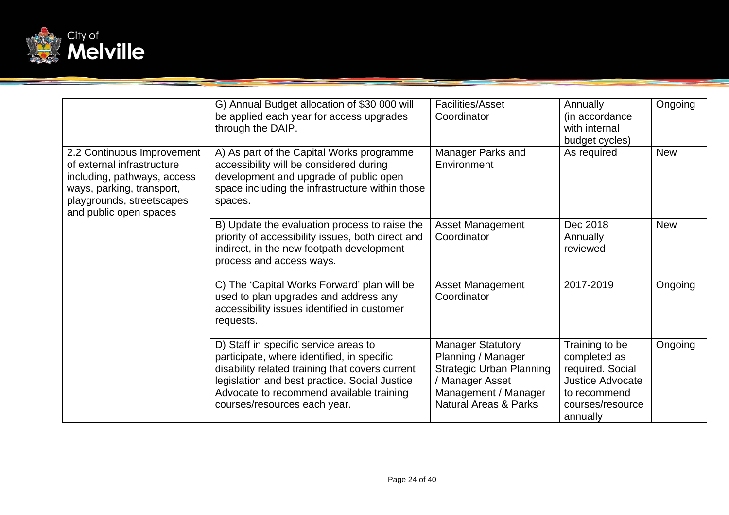

|                                                                                                                                                                             | G) Annual Budget allocation of \$30 000 will<br>be applied each year for access upgrades<br>through the DAIP.                                                                                                                                                       | Facilities/Asset<br>Coordinator                                                                                                                                  | <b>Annually</b><br>(in accordance<br>with internal<br>budget cycles)                                                          | Ongoing    |
|-----------------------------------------------------------------------------------------------------------------------------------------------------------------------------|---------------------------------------------------------------------------------------------------------------------------------------------------------------------------------------------------------------------------------------------------------------------|------------------------------------------------------------------------------------------------------------------------------------------------------------------|-------------------------------------------------------------------------------------------------------------------------------|------------|
| 2.2 Continuous Improvement<br>of external infrastructure<br>including, pathways, access<br>ways, parking, transport,<br>playgrounds, streetscapes<br>and public open spaces | A) As part of the Capital Works programme<br>accessibility will be considered during<br>development and upgrade of public open<br>space including the infrastructure within those<br>spaces.                                                                        | Manager Parks and<br>Environment                                                                                                                                 | As required                                                                                                                   | <b>New</b> |
|                                                                                                                                                                             | B) Update the evaluation process to raise the<br>priority of accessibility issues, both direct and<br>indirect, in the new footpath development<br>process and access ways.                                                                                         | <b>Asset Management</b><br>Coordinator                                                                                                                           | Dec 2018<br>Annually<br>reviewed                                                                                              | <b>New</b> |
|                                                                                                                                                                             | C) The 'Capital Works Forward' plan will be<br>used to plan upgrades and address any<br>accessibility issues identified in customer<br>requests.                                                                                                                    | <b>Asset Management</b><br>Coordinator                                                                                                                           | 2017-2019                                                                                                                     | Ongoing    |
|                                                                                                                                                                             | D) Staff in specific service areas to<br>participate, where identified, in specific<br>disability related training that covers current<br>legislation and best practice. Social Justice<br>Advocate to recommend available training<br>courses/resources each year. | <b>Manager Statutory</b><br>Planning / Manager<br><b>Strategic Urban Planning</b><br>/ Manager Asset<br>Management / Manager<br><b>Natural Areas &amp; Parks</b> | Training to be<br>completed as<br>required. Social<br><b>Justice Advocate</b><br>to recommend<br>courses/resource<br>annually | Ongoing    |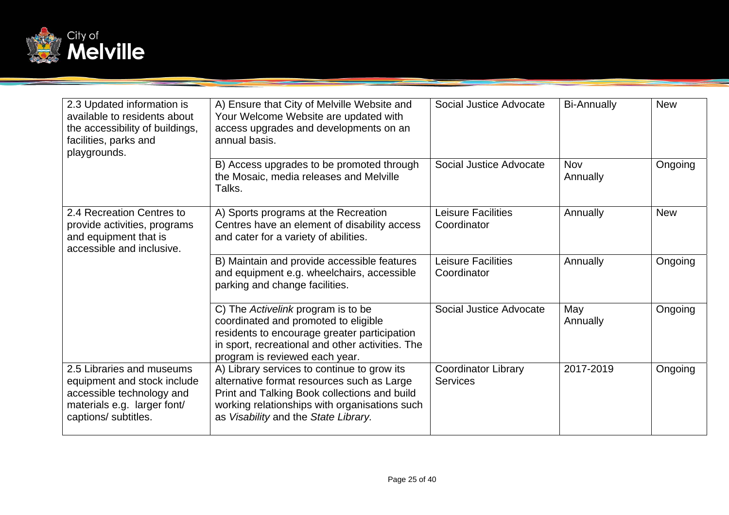

| 2.3 Updated information is<br>available to residents about<br>the accessibility of buildings,<br>facilities, parks and<br>playgrounds.       | A) Ensure that City of Melville Website and<br>Your Welcome Website are updated with<br>access upgrades and developments on an<br>annual basis.                                                                                    | Social Justice Advocate                       | <b>Bi-Annually</b>     | <b>New</b> |
|----------------------------------------------------------------------------------------------------------------------------------------------|------------------------------------------------------------------------------------------------------------------------------------------------------------------------------------------------------------------------------------|-----------------------------------------------|------------------------|------------|
|                                                                                                                                              | B) Access upgrades to be promoted through<br>the Mosaic, media releases and Melville<br>Talks.                                                                                                                                     | Social Justice Advocate                       | <b>Nov</b><br>Annually | Ongoing    |
| 2.4 Recreation Centres to<br>provide activities, programs<br>and equipment that is<br>accessible and inclusive.                              | A) Sports programs at the Recreation<br>Centres have an element of disability access<br>and cater for a variety of abilities.                                                                                                      | <b>Leisure Facilities</b><br>Coordinator      | Annually               | <b>New</b> |
|                                                                                                                                              | B) Maintain and provide accessible features<br>and equipment e.g. wheelchairs, accessible<br>parking and change facilities.                                                                                                        | Leisure Facilities<br>Coordinator             | Annually               | Ongoing    |
|                                                                                                                                              | C) The Activelink program is to be<br>coordinated and promoted to eligible<br>residents to encourage greater participation<br>in sport, recreational and other activities. The<br>program is reviewed each year.                   | Social Justice Advocate                       | May<br>Annually        | Ongoing    |
| 2.5 Libraries and museums<br>equipment and stock include<br>accessible technology and<br>materials e.g. larger font/<br>captions/ subtitles. | A) Library services to continue to grow its<br>alternative format resources such as Large<br>Print and Talking Book collections and build<br>working relationships with organisations such<br>as Visability and the State Library. | <b>Coordinator Library</b><br><b>Services</b> | 2017-2019              | Ongoing    |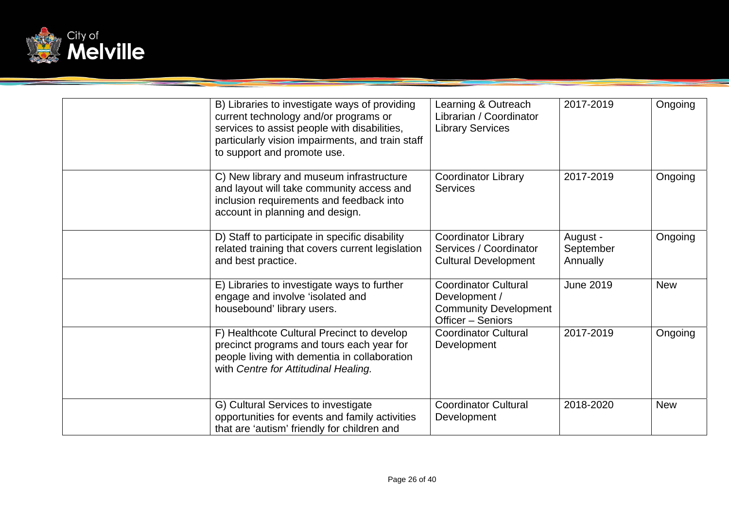

| B) Libraries to investigate ways of providing<br>current technology and/or programs or<br>services to assist people with disabilities,<br>particularly vision impairments, and train staff<br>to support and promote use. | Learning & Outreach<br>Librarian / Coordinator<br><b>Library Services</b>                         | 2017-2019                         | Ongoing    |
|---------------------------------------------------------------------------------------------------------------------------------------------------------------------------------------------------------------------------|---------------------------------------------------------------------------------------------------|-----------------------------------|------------|
| C) New library and museum infrastructure<br>and layout will take community access and<br>inclusion requirements and feedback into<br>account in planning and design.                                                      | <b>Coordinator Library</b><br><b>Services</b>                                                     | 2017-2019                         | Ongoing    |
| D) Staff to participate in specific disability<br>related training that covers current legislation<br>and best practice.                                                                                                  | <b>Coordinator Library</b><br>Services / Coordinator<br><b>Cultural Development</b>               | August -<br>September<br>Annually | Ongoing    |
| E) Libraries to investigate ways to further<br>engage and involve 'isolated and<br>housebound' library users.                                                                                                             | <b>Coordinator Cultural</b><br>Development /<br><b>Community Development</b><br>Officer - Seniors | <b>June 2019</b>                  | <b>New</b> |
| F) Healthcote Cultural Precinct to develop<br>precinct programs and tours each year for<br>people living with dementia in collaboration<br>with Centre for Attitudinal Healing.                                           | <b>Coordinator Cultural</b><br>Development                                                        | 2017-2019                         | Ongoing    |
| G) Cultural Services to investigate<br>opportunities for events and family activities<br>that are 'autism' friendly for children and                                                                                      | <b>Coordinator Cultural</b><br>Development                                                        | 2018-2020                         | <b>New</b> |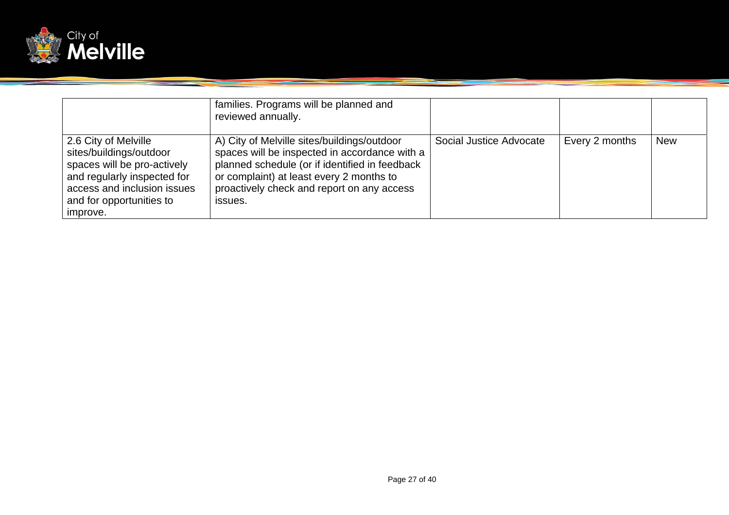

|                                                                                                                                                                                      | families. Programs will be planned and<br>reviewed annually.                                                                                                                                                                                        |                         |                |            |
|--------------------------------------------------------------------------------------------------------------------------------------------------------------------------------------|-----------------------------------------------------------------------------------------------------------------------------------------------------------------------------------------------------------------------------------------------------|-------------------------|----------------|------------|
| 2.6 City of Melville<br>sites/buildings/outdoor<br>spaces will be pro-actively<br>and regularly inspected for<br>access and inclusion issues<br>and for opportunities to<br>improve. | A) City of Melville sites/buildings/outdoor<br>spaces will be inspected in accordance with a<br>planned schedule (or if identified in feedback<br>or complaint) at least every 2 months to<br>proactively check and report on any access<br>issues. | Social Justice Advocate | Every 2 months | <b>New</b> |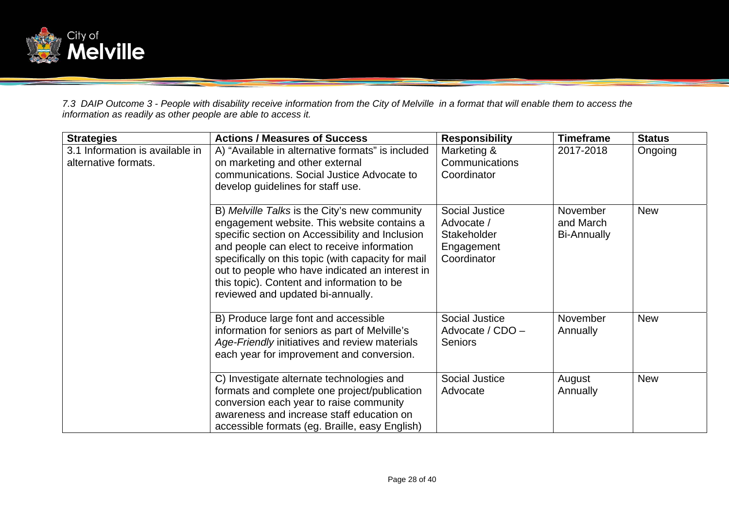

*7.3 DAIP Outcome 3 - People with disability receive information from the City of Melville in a format that will enable them to access the information as readily as other people are able to access it.* 

| <b>Strategies</b>                                       | <b>Actions / Measures of Success</b>                                                                                                                                                                                                                                                                                                                                                       | <b>Responsibility</b>                                                    | <b>Timeframe</b>                            | <b>Status</b> |
|---------------------------------------------------------|--------------------------------------------------------------------------------------------------------------------------------------------------------------------------------------------------------------------------------------------------------------------------------------------------------------------------------------------------------------------------------------------|--------------------------------------------------------------------------|---------------------------------------------|---------------|
| 3.1 Information is available in<br>alternative formats. | A) "Available in alternative formats" is included<br>on marketing and other external<br>communications. Social Justice Advocate to<br>develop guidelines for staff use.                                                                                                                                                                                                                    | Marketing &<br>Communications<br>Coordinator                             | 2017-2018                                   | Ongoing       |
|                                                         | B) Melville Talks is the City's new community<br>engagement website. This website contains a<br>specific section on Accessibility and Inclusion<br>and people can elect to receive information<br>specifically on this topic (with capacity for mail<br>out to people who have indicated an interest in<br>this topic). Content and information to be<br>reviewed and updated bi-annually. | Social Justice<br>Advocate /<br>Stakeholder<br>Engagement<br>Coordinator | November<br>and March<br><b>Bi-Annually</b> | <b>New</b>    |
|                                                         | B) Produce large font and accessible<br>information for seniors as part of Melville's<br>Age-Friendly initiatives and review materials<br>each year for improvement and conversion.                                                                                                                                                                                                        | Social Justice<br>Advocate / CDO -<br><b>Seniors</b>                     | November<br>Annually                        | <b>New</b>    |
|                                                         | C) Investigate alternate technologies and<br>formats and complete one project/publication<br>conversion each year to raise community<br>awareness and increase staff education on<br>accessible formats (eg. Braille, easy English)                                                                                                                                                        | <b>Social Justice</b><br>Advocate                                        | August<br>Annually                          | <b>New</b>    |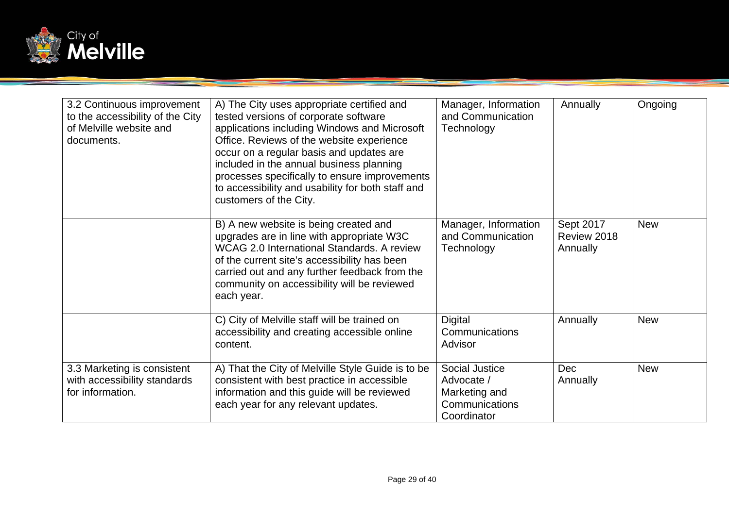

| 3.2 Continuous improvement<br>to the accessibility of the City<br>of Melville website and<br>documents. | A) The City uses appropriate certified and<br>tested versions of corporate software<br>applications including Windows and Microsoft<br>Office. Reviews of the website experience<br>occur on a regular basis and updates are<br>included in the annual business planning<br>processes specifically to ensure improvements<br>to accessibility and usability for both staff and<br>customers of the City. | Manager, Information<br>and Communication<br>Technology                        | Annually                             | Ongoing    |
|---------------------------------------------------------------------------------------------------------|----------------------------------------------------------------------------------------------------------------------------------------------------------------------------------------------------------------------------------------------------------------------------------------------------------------------------------------------------------------------------------------------------------|--------------------------------------------------------------------------------|--------------------------------------|------------|
|                                                                                                         | B) A new website is being created and<br>upgrades are in line with appropriate W3C<br>WCAG 2.0 International Standards. A review<br>of the current site's accessibility has been<br>carried out and any further feedback from the<br>community on accessibility will be reviewed<br>each year.                                                                                                           | Manager, Information<br>and Communication<br>Technology                        | Sept 2017<br>Review 2018<br>Annually | <b>New</b> |
|                                                                                                         | C) City of Melville staff will be trained on<br>accessibility and creating accessible online<br>content.                                                                                                                                                                                                                                                                                                 | Digital<br>Communications<br>Advisor                                           | Annually                             | <b>New</b> |
| 3.3 Marketing is consistent<br>with accessibility standards<br>for information.                         | A) That the City of Melville Style Guide is to be<br>consistent with best practice in accessible<br>information and this guide will be reviewed<br>each year for any relevant updates.                                                                                                                                                                                                                   | Social Justice<br>Advocate /<br>Marketing and<br>Communications<br>Coordinator | <b>Dec</b><br>Annually               | <b>New</b> |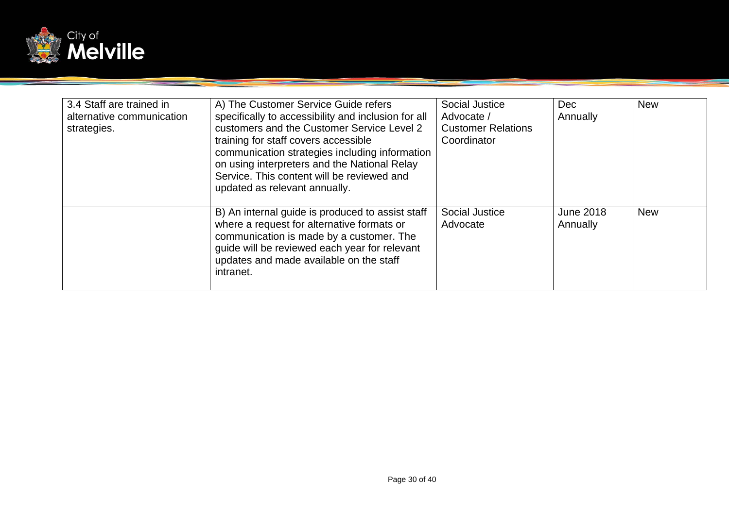

| 3.4 Staff are trained in<br>alternative communication<br>strategies. | A) The Customer Service Guide refers<br>specifically to accessibility and inclusion for all<br>customers and the Customer Service Level 2<br>training for staff covers accessible<br>communication strategies including information<br>on using interpreters and the National Relay<br>Service. This content will be reviewed and<br>updated as relevant annually. | Social Justice<br>Advocate /<br><b>Customer Relations</b><br>Coordinator | <b>Dec</b><br>Annually       | <b>New</b> |
|----------------------------------------------------------------------|--------------------------------------------------------------------------------------------------------------------------------------------------------------------------------------------------------------------------------------------------------------------------------------------------------------------------------------------------------------------|--------------------------------------------------------------------------|------------------------------|------------|
|                                                                      | B) An internal guide is produced to assist staff<br>where a request for alternative formats or<br>communication is made by a customer. The<br>guide will be reviewed each year for relevant<br>updates and made available on the staff<br>intranet.                                                                                                                | <b>Social Justice</b><br>Advocate                                        | <b>June 2018</b><br>Annually | <b>New</b> |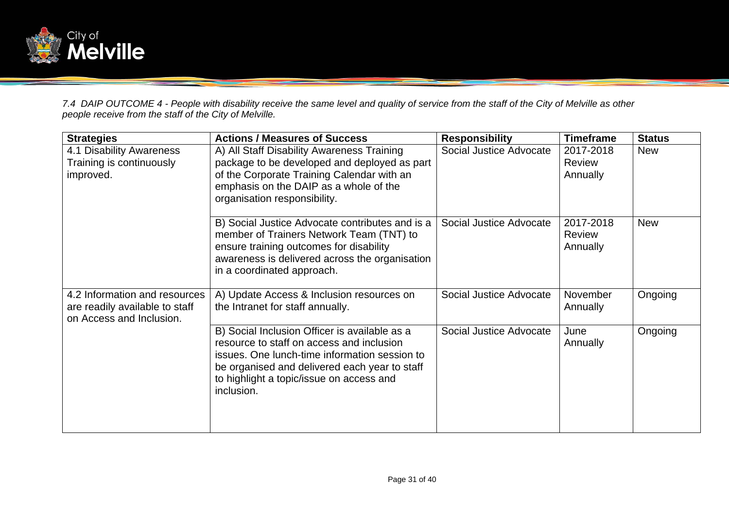

*7.4 DAIP OUTCOME 4 - People with disability receive the same level and quality of service from the staff of the City of Melville as other people receive from the staff of the City of Melville.* 

| <b>Strategies</b>                                                                           | <b>Actions / Measures of Success</b>                                                                                                                                                                                                                   | <b>Responsibility</b>   | <b>Timeframe</b>                       | <b>Status</b> |
|---------------------------------------------------------------------------------------------|--------------------------------------------------------------------------------------------------------------------------------------------------------------------------------------------------------------------------------------------------------|-------------------------|----------------------------------------|---------------|
| 4.1 Disability Awareness<br>Training is continuously<br>improved.                           | A) All Staff Disability Awareness Training<br>package to be developed and deployed as part<br>of the Corporate Training Calendar with an<br>emphasis on the DAIP as a whole of the<br>organisation responsibility.                                     | Social Justice Advocate | 2017-2018<br><b>Review</b><br>Annually | <b>New</b>    |
|                                                                                             | B) Social Justice Advocate contributes and is a<br>member of Trainers Network Team (TNT) to<br>ensure training outcomes for disability<br>awareness is delivered across the organisation<br>in a coordinated approach.                                 | Social Justice Advocate | 2017-2018<br><b>Review</b><br>Annually | <b>New</b>    |
| 4.2 Information and resources<br>are readily available to staff<br>on Access and Inclusion. | A) Update Access & Inclusion resources on<br>the Intranet for staff annually.                                                                                                                                                                          | Social Justice Advocate | <b>November</b><br>Annually            | Ongoing       |
|                                                                                             | B) Social Inclusion Officer is available as a<br>resource to staff on access and inclusion<br>issues. One lunch-time information session to<br>be organised and delivered each year to staff<br>to highlight a topic/issue on access and<br>inclusion. | Social Justice Advocate | June<br>Annually                       | Ongoing       |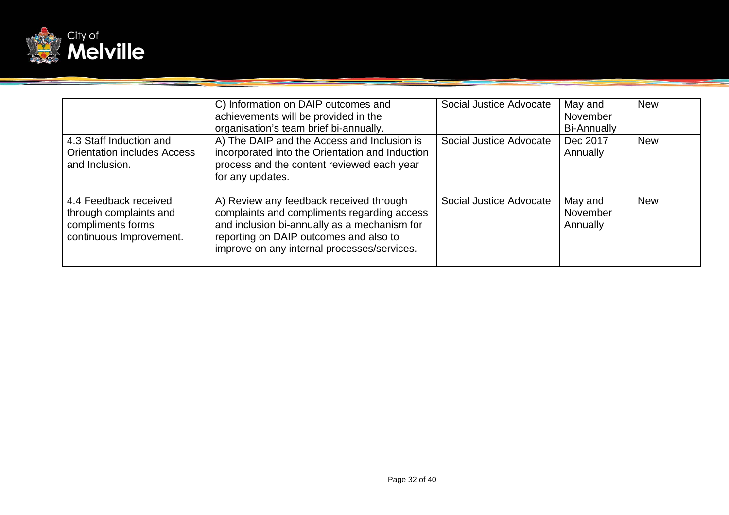

|                                                                                                 | C) Information on DAIP outcomes and<br>achievements will be provided in the<br>organisation's team brief bi-annually.                                                                                                           | Social Justice Advocate | May and<br>November<br><b>Bi-Annually</b> | <b>New</b> |
|-------------------------------------------------------------------------------------------------|---------------------------------------------------------------------------------------------------------------------------------------------------------------------------------------------------------------------------------|-------------------------|-------------------------------------------|------------|
| 4.3 Staff Induction and<br><b>Orientation includes Access</b><br>and Inclusion.                 | A) The DAIP and the Access and Inclusion is<br>incorporated into the Orientation and Induction<br>process and the content reviewed each year<br>for any updates.                                                                | Social Justice Advocate | Dec 2017<br>Annually                      | <b>New</b> |
| 4.4 Feedback received<br>through complaints and<br>compliments forms<br>continuous Improvement. | A) Review any feedback received through<br>complaints and compliments regarding access<br>and inclusion bi-annually as a mechanism for<br>reporting on DAIP outcomes and also to<br>improve on any internal processes/services. | Social Justice Advocate | May and<br>November<br>Annually           | <b>New</b> |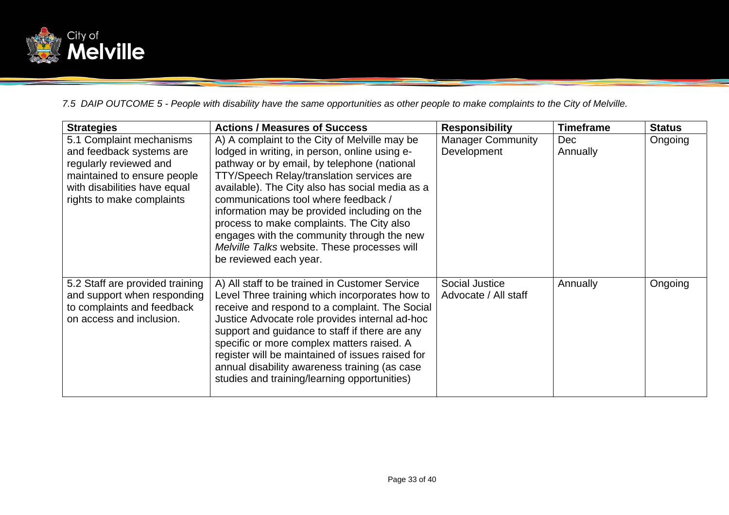

*7.5 DAIP OUTCOME 5 - People with disability have the same opportunities as other people to make complaints to the City of Melville.* 

| <b>Strategies</b>                                                                            | <b>Actions / Measures of Success</b>                                                                                                                                                                                                                                                                                                                      | <b>Responsibility</b>                         | <b>Timeframe</b> | <b>Status</b> |
|----------------------------------------------------------------------------------------------|-----------------------------------------------------------------------------------------------------------------------------------------------------------------------------------------------------------------------------------------------------------------------------------------------------------------------------------------------------------|-----------------------------------------------|------------------|---------------|
| 5.1 Complaint mechanisms                                                                     | A) A complaint to the City of Melville may be                                                                                                                                                                                                                                                                                                             | <b>Manager Community</b>                      | <b>Dec</b>       | Ongoing       |
| and feedback systems are                                                                     | lodged in writing, in person, online using e-                                                                                                                                                                                                                                                                                                             | Development                                   | Annually         |               |
| regularly reviewed and                                                                       | pathway or by email, by telephone (national                                                                                                                                                                                                                                                                                                               |                                               |                  |               |
| maintained to ensure people                                                                  | TTY/Speech Relay/translation services are                                                                                                                                                                                                                                                                                                                 |                                               |                  |               |
| with disabilities have equal<br>rights to make complaints                                    | available). The City also has social media as a<br>communications tool where feedback /                                                                                                                                                                                                                                                                   |                                               |                  |               |
|                                                                                              | information may be provided including on the                                                                                                                                                                                                                                                                                                              |                                               |                  |               |
|                                                                                              | process to make complaints. The City also                                                                                                                                                                                                                                                                                                                 |                                               |                  |               |
|                                                                                              | engages with the community through the new                                                                                                                                                                                                                                                                                                                |                                               |                  |               |
|                                                                                              | Melville Talks website. These processes will                                                                                                                                                                                                                                                                                                              |                                               |                  |               |
|                                                                                              | be reviewed each year.                                                                                                                                                                                                                                                                                                                                    |                                               |                  |               |
|                                                                                              |                                                                                                                                                                                                                                                                                                                                                           |                                               |                  |               |
|                                                                                              |                                                                                                                                                                                                                                                                                                                                                           |                                               |                  | Ongoing       |
|                                                                                              |                                                                                                                                                                                                                                                                                                                                                           |                                               |                  |               |
| on access and inclusion.                                                                     |                                                                                                                                                                                                                                                                                                                                                           |                                               |                  |               |
|                                                                                              | support and guidance to staff if there are any                                                                                                                                                                                                                                                                                                            |                                               |                  |               |
|                                                                                              | specific or more complex matters raised. A                                                                                                                                                                                                                                                                                                                |                                               |                  |               |
|                                                                                              |                                                                                                                                                                                                                                                                                                                                                           |                                               |                  |               |
|                                                                                              |                                                                                                                                                                                                                                                                                                                                                           |                                               |                  |               |
|                                                                                              |                                                                                                                                                                                                                                                                                                                                                           |                                               |                  |               |
| 5.2 Staff are provided training<br>and support when responding<br>to complaints and feedback | A) All staff to be trained in Customer Service<br>Level Three training which incorporates how to<br>receive and respond to a complaint. The Social<br>Justice Advocate role provides internal ad-hoc<br>register will be maintained of issues raised for<br>annual disability awareness training (as case<br>studies and training/learning opportunities) | <b>Social Justice</b><br>Advocate / All staff | Annually         |               |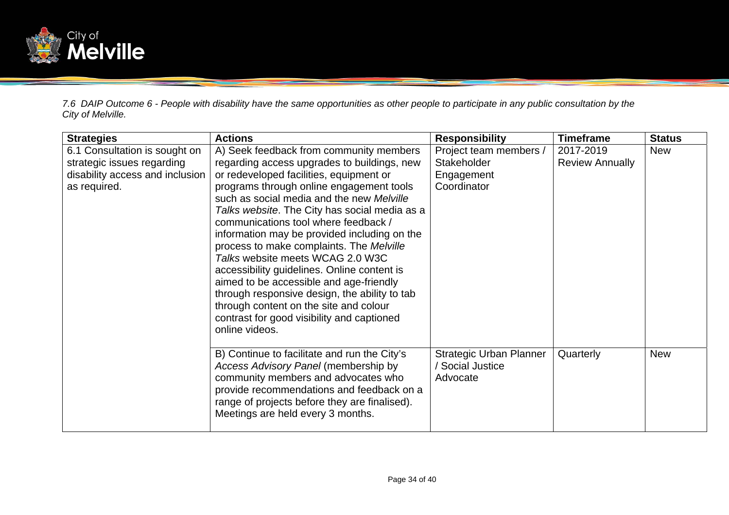

*7.6 DAIP Outcome 6 - People with disability have the same opportunities as other people to participate in any public consultation by the City of Melville.* 

| <b>Strategies</b>                                                                                              | <b>Actions</b>                                                                                                                                                                                                                                                                                                                                                                                                                                                                                                                                                                                                                                                                                           | <b>Responsibility</b>                                               | <b>Timeframe</b>                    | <b>Status</b> |
|----------------------------------------------------------------------------------------------------------------|----------------------------------------------------------------------------------------------------------------------------------------------------------------------------------------------------------------------------------------------------------------------------------------------------------------------------------------------------------------------------------------------------------------------------------------------------------------------------------------------------------------------------------------------------------------------------------------------------------------------------------------------------------------------------------------------------------|---------------------------------------------------------------------|-------------------------------------|---------------|
| 6.1 Consultation is sought on<br>strategic issues regarding<br>disability access and inclusion<br>as required. | A) Seek feedback from community members<br>regarding access upgrades to buildings, new<br>or redeveloped facilities, equipment or<br>programs through online engagement tools<br>such as social media and the new Melville<br>Talks website. The City has social media as a<br>communications tool where feedback /<br>information may be provided including on the<br>process to make complaints. The Melville<br>Talks website meets WCAG 2.0 W3C<br>accessibility guidelines. Online content is<br>aimed to be accessible and age-friendly<br>through responsive design, the ability to tab<br>through content on the site and colour<br>contrast for good visibility and captioned<br>online videos. | Project team members /<br>Stakeholder<br>Engagement<br>Coordinator  | 2017-2019<br><b>Review Annually</b> | <b>New</b>    |
|                                                                                                                | B) Continue to facilitate and run the City's<br>Access Advisory Panel (membership by<br>community members and advocates who<br>provide recommendations and feedback on a<br>range of projects before they are finalised).<br>Meetings are held every 3 months.                                                                                                                                                                                                                                                                                                                                                                                                                                           | <b>Strategic Urban Planner</b><br><b>Social Justice</b><br>Advocate | Quarterly                           | <b>New</b>    |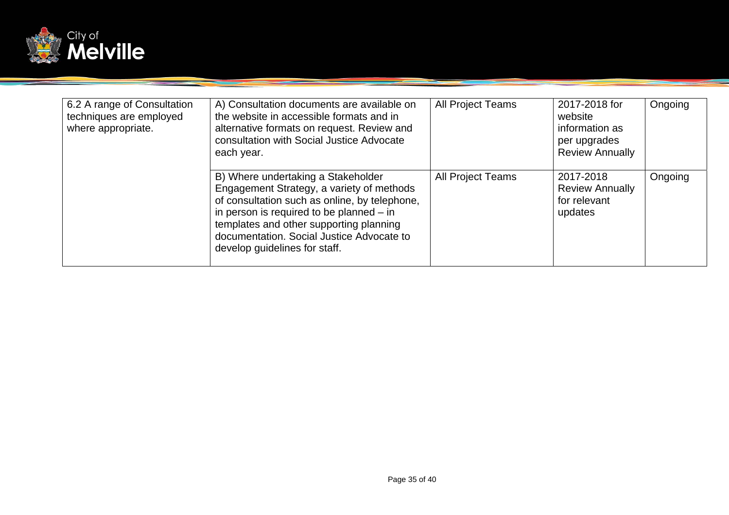

| 6.2 A range of Consultation<br>techniques are employed<br>where appropriate. | A) Consultation documents are available on<br>the website in accessible formats and in<br>alternative formats on request. Review and<br>consultation with Social Justice Advocate<br>each year.                                                                                                         | All Project Teams | 2017-2018 for<br>website<br>information as<br>per upgrades<br><b>Review Annually</b> | Ongoing |
|------------------------------------------------------------------------------|---------------------------------------------------------------------------------------------------------------------------------------------------------------------------------------------------------------------------------------------------------------------------------------------------------|-------------------|--------------------------------------------------------------------------------------|---------|
|                                                                              | B) Where undertaking a Stakeholder<br>Engagement Strategy, a variety of methods<br>of consultation such as online, by telephone,<br>in person is required to be planned $-$ in<br>templates and other supporting planning<br>documentation. Social Justice Advocate to<br>develop guidelines for staff. | All Project Teams | 2017-2018<br><b>Review Annually</b><br>for relevant<br>updates                       | Ongoing |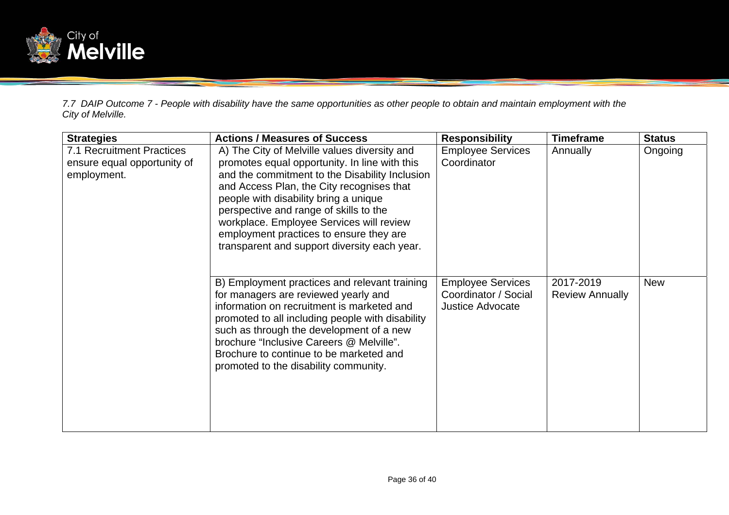

*7.7 DAIP Outcome 7 - People with disability have the same opportunities as other people to obtain and maintain employment with the City of Melville.* 

| <b>Strategies</b>                                                       | <b>Actions / Measures of Success</b>                                                                                                                                                                                                                                                                                                                                                                                   | <b>Responsibility</b>                                                       | <b>Timeframe</b>                    | <b>Status</b> |
|-------------------------------------------------------------------------|------------------------------------------------------------------------------------------------------------------------------------------------------------------------------------------------------------------------------------------------------------------------------------------------------------------------------------------------------------------------------------------------------------------------|-----------------------------------------------------------------------------|-------------------------------------|---------------|
| 7.1 Recruitment Practices<br>ensure equal opportunity of<br>employment. | A) The City of Melville values diversity and<br>promotes equal opportunity. In line with this<br>and the commitment to the Disability Inclusion<br>and Access Plan, the City recognises that<br>people with disability bring a unique<br>perspective and range of skills to the<br>workplace. Employee Services will review<br>employment practices to ensure they are<br>transparent and support diversity each year. | <b>Employee Services</b><br>Coordinator                                     | Annually                            | Ongoing       |
|                                                                         | B) Employment practices and relevant training<br>for managers are reviewed yearly and<br>information on recruitment is marketed and<br>promoted to all including people with disability<br>such as through the development of a new<br>brochure "Inclusive Careers @ Melville".<br>Brochure to continue to be marketed and<br>promoted to the disability community.                                                    | <b>Employee Services</b><br>Coordinator / Social<br><b>Justice Advocate</b> | 2017-2019<br><b>Review Annually</b> | <b>New</b>    |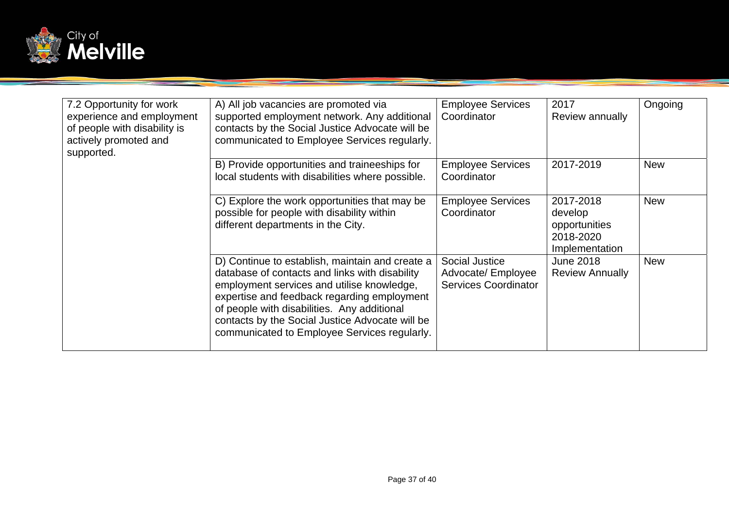

| 7.2 Opportunity for work<br>experience and employment<br>of people with disability is<br>actively promoted and<br>supported. | A) All job vacancies are promoted via<br>supported employment network. Any additional<br>contacts by the Social Justice Advocate will be<br>communicated to Employee Services regularly.                                                                                                                                                         | <b>Employee Services</b><br>Coordinator                             | 2017<br>Review annually                                              | Ongoing    |
|------------------------------------------------------------------------------------------------------------------------------|--------------------------------------------------------------------------------------------------------------------------------------------------------------------------------------------------------------------------------------------------------------------------------------------------------------------------------------------------|---------------------------------------------------------------------|----------------------------------------------------------------------|------------|
|                                                                                                                              | B) Provide opportunities and traineeships for<br>local students with disabilities where possible.                                                                                                                                                                                                                                                | <b>Employee Services</b><br>Coordinator                             | 2017-2019                                                            | <b>New</b> |
|                                                                                                                              | C) Explore the work opportunities that may be<br>possible for people with disability within<br>different departments in the City.                                                                                                                                                                                                                | <b>Employee Services</b><br>Coordinator                             | 2017-2018<br>develop<br>opportunities<br>2018-2020<br>Implementation | <b>New</b> |
|                                                                                                                              | D) Continue to establish, maintain and create a<br>database of contacts and links with disability<br>employment services and utilise knowledge,<br>expertise and feedback regarding employment<br>of people with disabilities. Any additional<br>contacts by the Social Justice Advocate will be<br>communicated to Employee Services regularly. | Social Justice<br>Advocate/ Employee<br><b>Services Coordinator</b> | <b>June 2018</b><br><b>Review Annually</b>                           | <b>New</b> |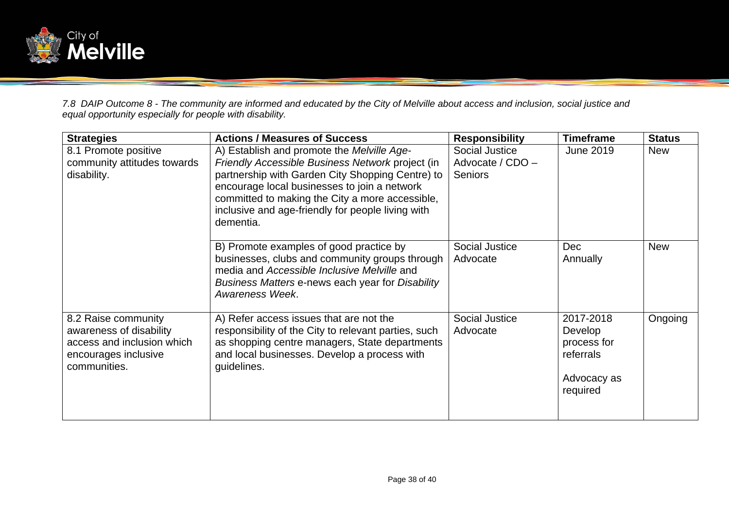

*7.8 DAIP Outcome 8 - The community are informed and educated by the City of Melville about access and inclusion, social justice and equal opportunity especially for people with disability.*

| <b>Strategies</b>                                                                                                    | <b>Actions / Measures of Success</b>                                                                                                                                                                                                                                                                                    | <b>Responsibility</b>                                | <b>Timeframe</b>                                                            | <b>Status</b> |
|----------------------------------------------------------------------------------------------------------------------|-------------------------------------------------------------------------------------------------------------------------------------------------------------------------------------------------------------------------------------------------------------------------------------------------------------------------|------------------------------------------------------|-----------------------------------------------------------------------------|---------------|
| 8.1 Promote positive<br>community attitudes towards<br>disability.                                                   | A) Establish and promote the Melville Age-<br>Friendly Accessible Business Network project (in<br>partnership with Garden City Shopping Centre) to<br>encourage local businesses to join a network<br>committed to making the City a more accessible,<br>inclusive and age-friendly for people living with<br>dementia. | Social Justice<br>Advocate / CDO -<br><b>Seniors</b> | June 2019                                                                   | <b>New</b>    |
|                                                                                                                      | B) Promote examples of good practice by<br>businesses, clubs and community groups through<br>media and Accessible Inclusive Melville and<br>Business Matters e-news each year for Disability<br>Awareness Week.                                                                                                         | Social Justice<br>Advocate                           | <b>Dec</b><br>Annually                                                      | <b>New</b>    |
| 8.2 Raise community<br>awareness of disability<br>access and inclusion which<br>encourages inclusive<br>communities. | A) Refer access issues that are not the<br>responsibility of the City to relevant parties, such<br>as shopping centre managers, State departments<br>and local businesses. Develop a process with<br>guidelines.                                                                                                        | Social Justice<br>Advocate                           | 2017-2018<br>Develop<br>process for<br>referrals<br>Advocacy as<br>required | Ongoing       |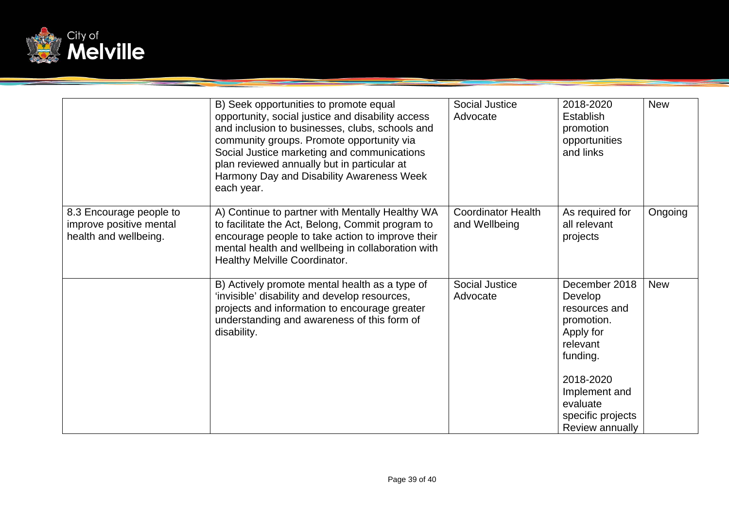

|                                                                             | B) Seek opportunities to promote equal<br>opportunity, social justice and disability access<br>and inclusion to businesses, clubs, schools and<br>community groups. Promote opportunity via<br>Social Justice marketing and communications<br>plan reviewed annually but in particular at<br>Harmony Day and Disability Awareness Week<br>each year. | Social Justice<br>Advocate                 | 2018-2020<br><b>Establish</b><br>promotion<br>opportunities<br>and links                                                                                                       | <b>New</b> |
|-----------------------------------------------------------------------------|------------------------------------------------------------------------------------------------------------------------------------------------------------------------------------------------------------------------------------------------------------------------------------------------------------------------------------------------------|--------------------------------------------|--------------------------------------------------------------------------------------------------------------------------------------------------------------------------------|------------|
| 8.3 Encourage people to<br>improve positive mental<br>health and wellbeing. | A) Continue to partner with Mentally Healthy WA<br>to facilitate the Act, Belong, Commit program to<br>encourage people to take action to improve their<br>mental health and wellbeing in collaboration with<br><b>Healthy Melville Coordinator.</b>                                                                                                 | <b>Coordinator Health</b><br>and Wellbeing | As required for<br>all relevant<br>projects                                                                                                                                    | Ongoing    |
|                                                                             | B) Actively promote mental health as a type of<br>'invisible' disability and develop resources,<br>projects and information to encourage greater<br>understanding and awareness of this form of<br>disability.                                                                                                                                       | <b>Social Justice</b><br>Advocate          | December 2018<br>Develop<br>resources and<br>promotion.<br>Apply for<br>relevant<br>funding.<br>2018-2020<br>Implement and<br>evaluate<br>specific projects<br>Review annually | <b>New</b> |